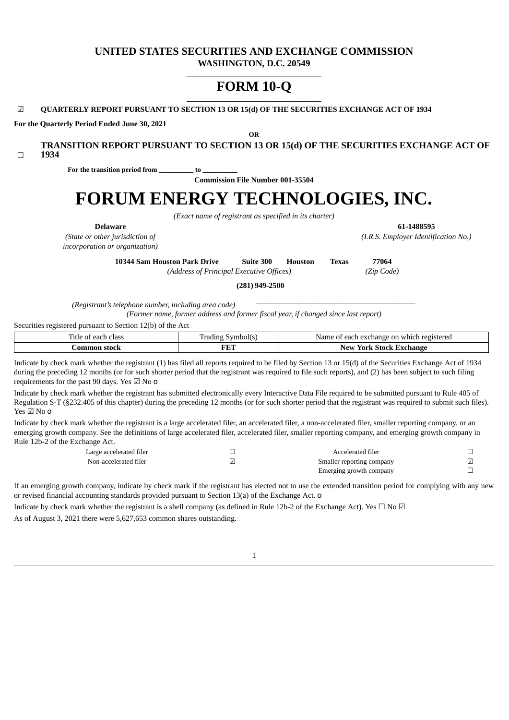# **UNITED STATES SECURITIES AND EXCHANGE COMMISSION WASHINGTON, D.C. 20549**

**\_\_\_\_\_\_\_\_\_\_\_\_\_\_\_\_\_\_\_\_\_\_\_\_\_\_\_\_\_\_\_\_\_\_\_**

# **FORM 10-Q \_\_\_\_\_\_\_\_\_\_\_\_\_\_\_\_\_\_\_\_\_\_\_\_\_\_\_\_\_\_\_\_\_\_\_**

**OR**

**TRANSITION REPORT PURSUANT TO SECTION 13 OR 15(d) OF THE SECURITIES EXCHANGE ACT OF**

☑ **QUARTERLY REPORT PURSUANT TO SECTION 13 OR 15(d) OF THE SECURITIES EXCHANGE ACT OF 1934**

**For the Quarterly Period Ended June 30, 2021**

| 1934<br>$\Box$                                                                                                                                                                                                                                                                                                                                                                      |                                                                                    |                                                       |    |
|-------------------------------------------------------------------------------------------------------------------------------------------------------------------------------------------------------------------------------------------------------------------------------------------------------------------------------------------------------------------------------------|------------------------------------------------------------------------------------|-------------------------------------------------------|----|
| For the transition period from                                                                                                                                                                                                                                                                                                                                                      | to                                                                                 |                                                       |    |
|                                                                                                                                                                                                                                                                                                                                                                                     | <b>Commission File Number 001-35504</b>                                            |                                                       |    |
|                                                                                                                                                                                                                                                                                                                                                                                     |                                                                                    | FORUM ENERGY TECHNOLOGIES, INC.                       |    |
|                                                                                                                                                                                                                                                                                                                                                                                     | (Exact name of registrant as specified in its charter)                             |                                                       |    |
| <b>Delaware</b><br>(State or other jurisdiction of<br>incorporation or organization)                                                                                                                                                                                                                                                                                                |                                                                                    | 61-1488595<br>(I.R.S. Employer Identification No.)    |    |
| <b>10344 Sam Houston Park Drive</b>                                                                                                                                                                                                                                                                                                                                                 | Suite 300<br>(Address of Principal Executive Offices)                              | 77064<br><b>Texas</b><br><b>Houston</b><br>(Zip Code) |    |
|                                                                                                                                                                                                                                                                                                                                                                                     | $(281)$ 949-2500                                                                   |                                                       |    |
| (Registrant's telephone number, including area code)<br>Securities registered pursuant to Section 12(b) of the Act                                                                                                                                                                                                                                                                  | (Former name, former address and former fiscal year, if changed since last report) |                                                       |    |
| Title of each class                                                                                                                                                                                                                                                                                                                                                                 | Trading Symbol(s)                                                                  | Name of each exchange on which registered             |    |
| <b>Common stock</b>                                                                                                                                                                                                                                                                                                                                                                 | <b>FET</b>                                                                         | <b>New York Stock Exchange</b>                        |    |
| Indicate by check mark whether the registrant (1) has filed all reports required to be filed by Section 13 or 15(d) of the Securities Exchange Act of 1934<br>during the preceding 12 months (or for such shorter period that the registrant was required to file such reports), and (2) has been subject to such filing<br>requirements for the past 90 days. Yes $\boxtimes$ No 0 |                                                                                    |                                                       |    |
| Indicate by check mark whether the registrant has submitted electronically every Interactive Data File required to be submitted pursuant to Rule 405 of<br>Regulation S-T (§232.405 of this chapter) during the preceding 12 months (or for such shorter period that the registrant was required to submit such files).<br>Yes $\boxtimes$ No 0                                     |                                                                                    |                                                       |    |
| Indicate by check mark whether the registrant is a large accelerated filer, an accelerated filer, a non-accelerated filer, smaller reporting company, or an<br>emerging growth company. See the definitions of large accelerated filer, accelerated filer, smaller reporting company, and emerging growth company in<br>Rule 12b-2 of the Exchange Act.                             |                                                                                    |                                                       |    |
| . I arge accelerated filer                                                                                                                                                                                                                                                                                                                                                          | $\Box$                                                                             | Accelerated filer                                     | П. |

| Large accelerated filer | Accelerated filer         |  |
|-------------------------|---------------------------|--|
| Non-accelerated filer   | Smaller reporting company |  |
|                         | Emerging growth company   |  |

If an emerging growth company, indicate by check mark if the registrant has elected not to use the extended transition period for complying with any new or revised financial accounting standards provided pursuant to Section 13(a) of the Exchange Act. o

<span id="page-0-0"></span>Indicate by check mark whether the registrant is a shell company (as defined in Rule 12b-2 of the Exchange Act). Yes  $\Box$  No  $\Box$ As of August 3, 2021 there were 5,627,653 common shares outstanding.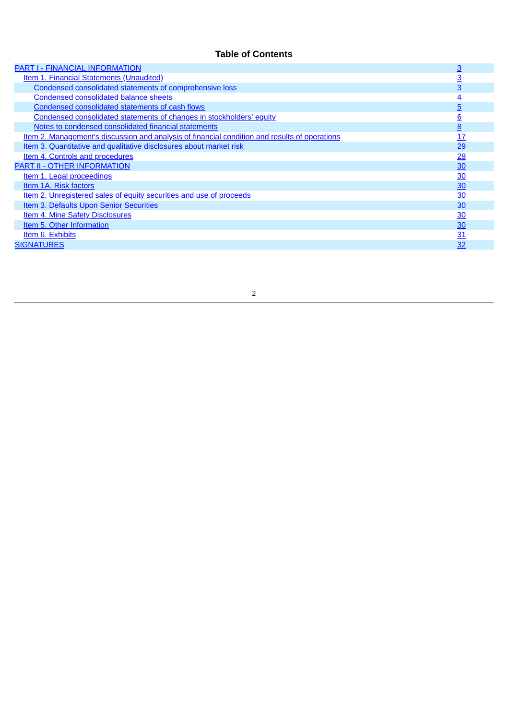# **Table of Contents**

<span id="page-1-0"></span>

| <b>PART I - FINANCIAL INFORMATION</b>                                                         | $\overline{3}$ |
|-----------------------------------------------------------------------------------------------|----------------|
| <b>Item 1. Financial Statements (Unaudited)</b>                                               | <u>3</u>       |
| Condensed consolidated statements of comprehensive loss                                       | 3              |
| <b>Condensed consolidated balance sheets</b>                                                  | <u>4</u>       |
| Condensed consolidated statements of cash flows                                               | $\overline{5}$ |
| Condensed consolidated statements of changes in stockholders' equity                          | <u>6</u>       |
| Notes to condensed consolidated financial statements                                          | 8              |
| Item 2. Management's discussion and analysis of financial condition and results of operations | 17             |
| Item 3. Quantitative and qualitative disclosures about market risk                            | 29             |
| Item 4. Controls and procedures                                                               | 29             |
| <b>PART II - OTHER INFORMATION</b>                                                            | 30             |
| Item 1. Legal proceedings                                                                     | $\frac{30}{2}$ |
| Item 1A. Risk factors                                                                         | 30             |
| Item 2. Unregistered sales of equity securities and use of proceeds                           | 30             |
| <b>Item 3. Defaults Upon Senior Securities</b>                                                | 30             |
| <b>Item 4. Mine Safety Disclosures</b>                                                        | 30             |
| Item 5. Other Information                                                                     | 30             |
| Item 6. Exhibits                                                                              | 31             |
| <b>SIGNATURES</b>                                                                             | 32             |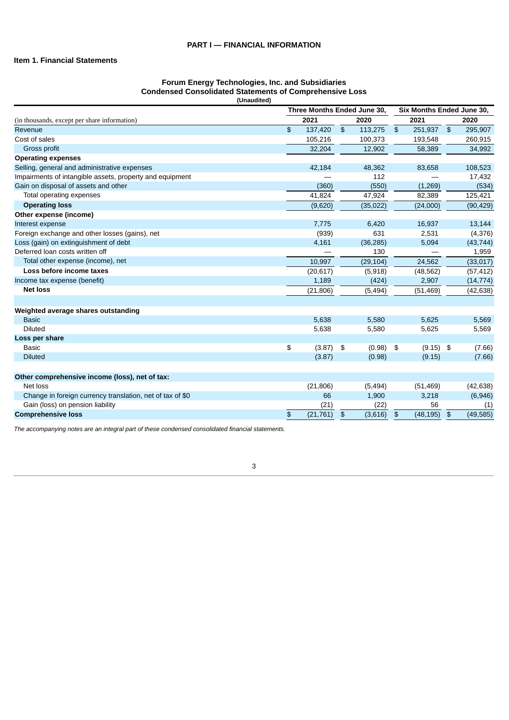## <span id="page-2-1"></span><span id="page-2-0"></span>**Item 1. Financial Statements**

#### **Forum Energy Technologies, Inc. and Subsidiaries Condensed Consolidated Statements of Comprehensive Loss (Unaudited)**

|                                                           | Three Months Ended June 30, |               |           |               | Six Months Ended June 30, |               |           |
|-----------------------------------------------------------|-----------------------------|---------------|-----------|---------------|---------------------------|---------------|-----------|
| (in thousands, except per share information)              | 2021                        |               | 2020      |               | 2021                      |               | 2020      |
| Revenue                                                   | \$<br>137,420               | $\frac{1}{2}$ | 113,275   | $\frac{1}{2}$ | 251,937                   | $\frac{1}{2}$ | 295,907   |
| Cost of sales                                             | 105,216                     |               | 100,373   |               | 193,548                   |               | 260,915   |
| Gross profit                                              | 32,204                      |               | 12,902    |               | 58,389                    |               | 34,992    |
| <b>Operating expenses</b>                                 |                             |               |           |               |                           |               |           |
| Selling, general and administrative expenses              | 42,184                      |               | 48,362    |               | 83,658                    |               | 108,523   |
| Impairments of intangible assets, property and equipment  |                             |               | 112       |               |                           |               | 17,432    |
| Gain on disposal of assets and other                      | (360)                       |               | (550)     |               | (1, 269)                  |               | (534)     |
| Total operating expenses                                  | 41,824                      |               | 47,924    |               | 82,389                    |               | 125,421   |
| <b>Operating loss</b>                                     | (9,620)                     |               | (35, 022) |               | (24,000)                  |               | (90, 429) |
| Other expense (income)                                    |                             |               |           |               |                           |               |           |
| Interest expense                                          | 7,775                       |               | 6,420     |               | 16,937                    |               | 13,144    |
| Foreign exchange and other losses (gains), net            | (939)                       |               | 631       |               | 2,531                     |               | (4, 376)  |
| Loss (gain) on extinguishment of debt                     | 4,161                       |               | (36, 285) |               | 5,094                     |               | (43, 744) |
| Deferred loan costs written off                           |                             |               | 130       |               |                           |               | 1,959     |
| Total other expense (income), net                         | 10,997                      |               | (29, 104) |               | 24,562                    |               | (33,017)  |
| Loss before income taxes                                  | (20, 617)                   |               | (5,918)   |               | (48, 562)                 |               | (57, 412) |
| Income tax expense (benefit)                              | 1,189                       |               | (424)     |               | 2,907                     |               | (14, 774) |
| <b>Net loss</b>                                           | (21, 806)                   |               | (5, 494)  |               | (51, 469)                 |               | (42, 638) |
|                                                           |                             |               |           |               |                           |               |           |
| Weighted average shares outstanding                       |                             |               |           |               |                           |               |           |
| <b>Basic</b>                                              | 5,638                       |               | 5,580     |               | 5,625                     |               | 5,569     |
| <b>Diluted</b>                                            | 5,638                       |               | 5,580     |               | 5,625                     |               | 5,569     |
| Loss per share                                            |                             |               |           |               |                           |               |           |
| <b>Basic</b>                                              | \$<br>$(3.87)$ \$           |               | (0.98)    | \$            | $(9.15)$ \$               |               | (7.66)    |
| <b>Diluted</b>                                            | (3.87)                      |               | (0.98)    |               | (9.15)                    |               | (7.66)    |
|                                                           |                             |               |           |               |                           |               |           |
| Other comprehensive income (loss), net of tax:            |                             |               |           |               |                           |               |           |
| Net loss                                                  | (21, 806)                   |               | (5, 494)  |               | (51, 469)                 |               | (42, 638) |
| Change in foreign currency translation, net of tax of \$0 | 66                          |               | 1,900     |               | 3,218                     |               | (6,946)   |
| Gain (loss) on pension liability                          | (21)                        |               | (22)      |               | 56                        |               | (1)       |
| <b>Comprehensive loss</b>                                 | \$<br>(21, 761)             | \$            | (3,616)   | $\frac{3}{2}$ | (48, 195)                 | $\frac{1}{2}$ | (49, 585) |

<span id="page-2-2"></span>*The accompanying notes are an integral part of these condensed consolidated financial statements.*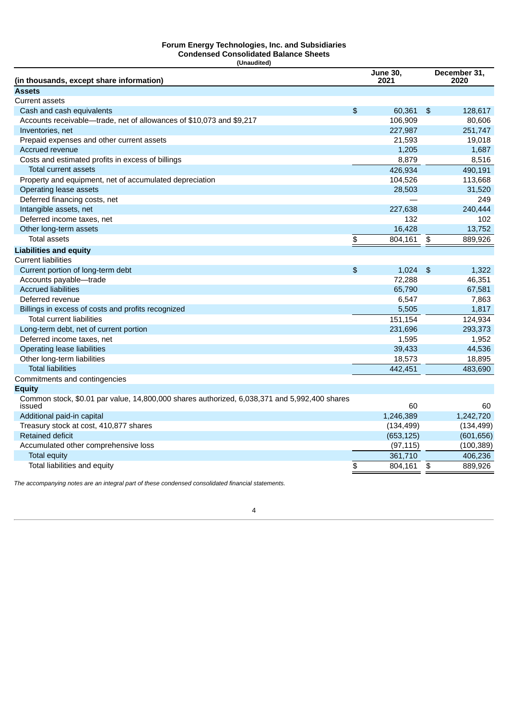#### **Forum Energy Technologies, Inc. and Subsidiaries Condensed Consolidated Balance Sheets (Unaudited)**

| Cash and cash equivalents<br>\$<br>60,361<br>128,617<br>\$<br>Accounts receivable-trade, net of allowances of \$10,073 and \$9,217<br>106,909<br>80,606<br>227,987<br>251,747<br>Inventories, net<br>Prepaid expenses and other current assets<br>21,593<br>19,018<br>Accrued revenue<br>1,205<br>1,687<br>Costs and estimated profits in excess of billings<br>8,879<br>8,516<br><b>Total current assets</b><br>426,934<br>490,191<br>Property and equipment, net of accumulated depreciation<br>104,526<br>113,668<br>Operating lease assets<br>28,503<br>31,520<br>Deferred financing costs, net<br>249<br>Intangible assets, net<br>227,638<br>240,444<br>Deferred income taxes, net<br>132<br>102<br>16,428<br>Other long-term assets<br>13,752<br><b>Total assets</b><br>\$<br>804,161<br>$\frac{1}{2}$<br>889,926<br><b>Liabilities and equity</b><br>Current portion of long-term debt<br>$\frac{4}{5}$<br>1,024<br>$\frac{4}{5}$<br>1,322<br>72,288<br>46,351<br>Accounts payable-trade<br><b>Accrued liabilities</b><br>65,790<br>67,581<br>Deferred revenue<br>6,547<br>7,863<br>Billings in excess of costs and profits recognized<br>5,505<br>1,817<br><b>Total current liabilities</b><br>151,154<br>124,934<br>293,373<br>Long-term debt, net of current portion<br>231,696<br>Deferred income taxes, net<br>1,952<br>1,595<br>Operating lease liabilities<br>39,433<br>44,536<br>Other long-term liabilities<br>18,573<br>18.895<br><b>Total liabilities</b><br>442,451<br>483,690<br>Common stock, \$0.01 par value, 14,800,000 shares authorized, 6,038,371 and 5,992,400 shares<br>issued<br>60<br>60<br>Additional paid-in capital<br>1,246,389<br>1,242,720<br>(134, 499)<br>Treasury stock at cost, 410,877 shares<br>(134, 499)<br><b>Retained deficit</b><br>(653, 125)<br>(601, 656)<br>(97, 115)<br>(100, 389)<br>Accumulated other comprehensive loss<br>361,710<br>406,236<br><b>Total equity</b><br>Total liabilities and equity<br>\$<br>889,926<br>804,161<br>\$ | (in thousands, except share information) | <b>June 30,</b><br>2021 | December 31,<br>2020 |
|-------------------------------------------------------------------------------------------------------------------------------------------------------------------------------------------------------------------------------------------------------------------------------------------------------------------------------------------------------------------------------------------------------------------------------------------------------------------------------------------------------------------------------------------------------------------------------------------------------------------------------------------------------------------------------------------------------------------------------------------------------------------------------------------------------------------------------------------------------------------------------------------------------------------------------------------------------------------------------------------------------------------------------------------------------------------------------------------------------------------------------------------------------------------------------------------------------------------------------------------------------------------------------------------------------------------------------------------------------------------------------------------------------------------------------------------------------------------------------------------------------------------------------------------------------------------------------------------------------------------------------------------------------------------------------------------------------------------------------------------------------------------------------------------------------------------------------------------------------------------------------------------------------------------------------------------------------------------------------------------------|------------------------------------------|-------------------------|----------------------|
|                                                                                                                                                                                                                                                                                                                                                                                                                                                                                                                                                                                                                                                                                                                                                                                                                                                                                                                                                                                                                                                                                                                                                                                                                                                                                                                                                                                                                                                                                                                                                                                                                                                                                                                                                                                                                                                                                                                                                                                                 | Assets                                   |                         |                      |
|                                                                                                                                                                                                                                                                                                                                                                                                                                                                                                                                                                                                                                                                                                                                                                                                                                                                                                                                                                                                                                                                                                                                                                                                                                                                                                                                                                                                                                                                                                                                                                                                                                                                                                                                                                                                                                                                                                                                                                                                 | Current assets                           |                         |                      |
|                                                                                                                                                                                                                                                                                                                                                                                                                                                                                                                                                                                                                                                                                                                                                                                                                                                                                                                                                                                                                                                                                                                                                                                                                                                                                                                                                                                                                                                                                                                                                                                                                                                                                                                                                                                                                                                                                                                                                                                                 |                                          |                         |                      |
|                                                                                                                                                                                                                                                                                                                                                                                                                                                                                                                                                                                                                                                                                                                                                                                                                                                                                                                                                                                                                                                                                                                                                                                                                                                                                                                                                                                                                                                                                                                                                                                                                                                                                                                                                                                                                                                                                                                                                                                                 |                                          |                         |                      |
|                                                                                                                                                                                                                                                                                                                                                                                                                                                                                                                                                                                                                                                                                                                                                                                                                                                                                                                                                                                                                                                                                                                                                                                                                                                                                                                                                                                                                                                                                                                                                                                                                                                                                                                                                                                                                                                                                                                                                                                                 |                                          |                         |                      |
|                                                                                                                                                                                                                                                                                                                                                                                                                                                                                                                                                                                                                                                                                                                                                                                                                                                                                                                                                                                                                                                                                                                                                                                                                                                                                                                                                                                                                                                                                                                                                                                                                                                                                                                                                                                                                                                                                                                                                                                                 |                                          |                         |                      |
|                                                                                                                                                                                                                                                                                                                                                                                                                                                                                                                                                                                                                                                                                                                                                                                                                                                                                                                                                                                                                                                                                                                                                                                                                                                                                                                                                                                                                                                                                                                                                                                                                                                                                                                                                                                                                                                                                                                                                                                                 |                                          |                         |                      |
|                                                                                                                                                                                                                                                                                                                                                                                                                                                                                                                                                                                                                                                                                                                                                                                                                                                                                                                                                                                                                                                                                                                                                                                                                                                                                                                                                                                                                                                                                                                                                                                                                                                                                                                                                                                                                                                                                                                                                                                                 |                                          |                         |                      |
|                                                                                                                                                                                                                                                                                                                                                                                                                                                                                                                                                                                                                                                                                                                                                                                                                                                                                                                                                                                                                                                                                                                                                                                                                                                                                                                                                                                                                                                                                                                                                                                                                                                                                                                                                                                                                                                                                                                                                                                                 |                                          |                         |                      |
|                                                                                                                                                                                                                                                                                                                                                                                                                                                                                                                                                                                                                                                                                                                                                                                                                                                                                                                                                                                                                                                                                                                                                                                                                                                                                                                                                                                                                                                                                                                                                                                                                                                                                                                                                                                                                                                                                                                                                                                                 |                                          |                         |                      |
|                                                                                                                                                                                                                                                                                                                                                                                                                                                                                                                                                                                                                                                                                                                                                                                                                                                                                                                                                                                                                                                                                                                                                                                                                                                                                                                                                                                                                                                                                                                                                                                                                                                                                                                                                                                                                                                                                                                                                                                                 |                                          |                         |                      |
|                                                                                                                                                                                                                                                                                                                                                                                                                                                                                                                                                                                                                                                                                                                                                                                                                                                                                                                                                                                                                                                                                                                                                                                                                                                                                                                                                                                                                                                                                                                                                                                                                                                                                                                                                                                                                                                                                                                                                                                                 |                                          |                         |                      |
|                                                                                                                                                                                                                                                                                                                                                                                                                                                                                                                                                                                                                                                                                                                                                                                                                                                                                                                                                                                                                                                                                                                                                                                                                                                                                                                                                                                                                                                                                                                                                                                                                                                                                                                                                                                                                                                                                                                                                                                                 |                                          |                         |                      |
|                                                                                                                                                                                                                                                                                                                                                                                                                                                                                                                                                                                                                                                                                                                                                                                                                                                                                                                                                                                                                                                                                                                                                                                                                                                                                                                                                                                                                                                                                                                                                                                                                                                                                                                                                                                                                                                                                                                                                                                                 |                                          |                         |                      |
|                                                                                                                                                                                                                                                                                                                                                                                                                                                                                                                                                                                                                                                                                                                                                                                                                                                                                                                                                                                                                                                                                                                                                                                                                                                                                                                                                                                                                                                                                                                                                                                                                                                                                                                                                                                                                                                                                                                                                                                                 |                                          |                         |                      |
|                                                                                                                                                                                                                                                                                                                                                                                                                                                                                                                                                                                                                                                                                                                                                                                                                                                                                                                                                                                                                                                                                                                                                                                                                                                                                                                                                                                                                                                                                                                                                                                                                                                                                                                                                                                                                                                                                                                                                                                                 |                                          |                         |                      |
|                                                                                                                                                                                                                                                                                                                                                                                                                                                                                                                                                                                                                                                                                                                                                                                                                                                                                                                                                                                                                                                                                                                                                                                                                                                                                                                                                                                                                                                                                                                                                                                                                                                                                                                                                                                                                                                                                                                                                                                                 |                                          |                         |                      |
|                                                                                                                                                                                                                                                                                                                                                                                                                                                                                                                                                                                                                                                                                                                                                                                                                                                                                                                                                                                                                                                                                                                                                                                                                                                                                                                                                                                                                                                                                                                                                                                                                                                                                                                                                                                                                                                                                                                                                                                                 | <b>Current liabilities</b>               |                         |                      |
|                                                                                                                                                                                                                                                                                                                                                                                                                                                                                                                                                                                                                                                                                                                                                                                                                                                                                                                                                                                                                                                                                                                                                                                                                                                                                                                                                                                                                                                                                                                                                                                                                                                                                                                                                                                                                                                                                                                                                                                                 |                                          |                         |                      |
|                                                                                                                                                                                                                                                                                                                                                                                                                                                                                                                                                                                                                                                                                                                                                                                                                                                                                                                                                                                                                                                                                                                                                                                                                                                                                                                                                                                                                                                                                                                                                                                                                                                                                                                                                                                                                                                                                                                                                                                                 |                                          |                         |                      |
|                                                                                                                                                                                                                                                                                                                                                                                                                                                                                                                                                                                                                                                                                                                                                                                                                                                                                                                                                                                                                                                                                                                                                                                                                                                                                                                                                                                                                                                                                                                                                                                                                                                                                                                                                                                                                                                                                                                                                                                                 |                                          |                         |                      |
|                                                                                                                                                                                                                                                                                                                                                                                                                                                                                                                                                                                                                                                                                                                                                                                                                                                                                                                                                                                                                                                                                                                                                                                                                                                                                                                                                                                                                                                                                                                                                                                                                                                                                                                                                                                                                                                                                                                                                                                                 |                                          |                         |                      |
|                                                                                                                                                                                                                                                                                                                                                                                                                                                                                                                                                                                                                                                                                                                                                                                                                                                                                                                                                                                                                                                                                                                                                                                                                                                                                                                                                                                                                                                                                                                                                                                                                                                                                                                                                                                                                                                                                                                                                                                                 |                                          |                         |                      |
|                                                                                                                                                                                                                                                                                                                                                                                                                                                                                                                                                                                                                                                                                                                                                                                                                                                                                                                                                                                                                                                                                                                                                                                                                                                                                                                                                                                                                                                                                                                                                                                                                                                                                                                                                                                                                                                                                                                                                                                                 |                                          |                         |                      |
|                                                                                                                                                                                                                                                                                                                                                                                                                                                                                                                                                                                                                                                                                                                                                                                                                                                                                                                                                                                                                                                                                                                                                                                                                                                                                                                                                                                                                                                                                                                                                                                                                                                                                                                                                                                                                                                                                                                                                                                                 |                                          |                         |                      |
|                                                                                                                                                                                                                                                                                                                                                                                                                                                                                                                                                                                                                                                                                                                                                                                                                                                                                                                                                                                                                                                                                                                                                                                                                                                                                                                                                                                                                                                                                                                                                                                                                                                                                                                                                                                                                                                                                                                                                                                                 |                                          |                         |                      |
|                                                                                                                                                                                                                                                                                                                                                                                                                                                                                                                                                                                                                                                                                                                                                                                                                                                                                                                                                                                                                                                                                                                                                                                                                                                                                                                                                                                                                                                                                                                                                                                                                                                                                                                                                                                                                                                                                                                                                                                                 |                                          |                         |                      |
|                                                                                                                                                                                                                                                                                                                                                                                                                                                                                                                                                                                                                                                                                                                                                                                                                                                                                                                                                                                                                                                                                                                                                                                                                                                                                                                                                                                                                                                                                                                                                                                                                                                                                                                                                                                                                                                                                                                                                                                                 |                                          |                         |                      |
|                                                                                                                                                                                                                                                                                                                                                                                                                                                                                                                                                                                                                                                                                                                                                                                                                                                                                                                                                                                                                                                                                                                                                                                                                                                                                                                                                                                                                                                                                                                                                                                                                                                                                                                                                                                                                                                                                                                                                                                                 |                                          |                         |                      |
|                                                                                                                                                                                                                                                                                                                                                                                                                                                                                                                                                                                                                                                                                                                                                                                                                                                                                                                                                                                                                                                                                                                                                                                                                                                                                                                                                                                                                                                                                                                                                                                                                                                                                                                                                                                                                                                                                                                                                                                                 | Commitments and contingencies            |                         |                      |
|                                                                                                                                                                                                                                                                                                                                                                                                                                                                                                                                                                                                                                                                                                                                                                                                                                                                                                                                                                                                                                                                                                                                                                                                                                                                                                                                                                                                                                                                                                                                                                                                                                                                                                                                                                                                                                                                                                                                                                                                 | Equity                                   |                         |                      |
|                                                                                                                                                                                                                                                                                                                                                                                                                                                                                                                                                                                                                                                                                                                                                                                                                                                                                                                                                                                                                                                                                                                                                                                                                                                                                                                                                                                                                                                                                                                                                                                                                                                                                                                                                                                                                                                                                                                                                                                                 |                                          |                         |                      |
|                                                                                                                                                                                                                                                                                                                                                                                                                                                                                                                                                                                                                                                                                                                                                                                                                                                                                                                                                                                                                                                                                                                                                                                                                                                                                                                                                                                                                                                                                                                                                                                                                                                                                                                                                                                                                                                                                                                                                                                                 |                                          |                         |                      |
|                                                                                                                                                                                                                                                                                                                                                                                                                                                                                                                                                                                                                                                                                                                                                                                                                                                                                                                                                                                                                                                                                                                                                                                                                                                                                                                                                                                                                                                                                                                                                                                                                                                                                                                                                                                                                                                                                                                                                                                                 |                                          |                         |                      |
|                                                                                                                                                                                                                                                                                                                                                                                                                                                                                                                                                                                                                                                                                                                                                                                                                                                                                                                                                                                                                                                                                                                                                                                                                                                                                                                                                                                                                                                                                                                                                                                                                                                                                                                                                                                                                                                                                                                                                                                                 |                                          |                         |                      |
|                                                                                                                                                                                                                                                                                                                                                                                                                                                                                                                                                                                                                                                                                                                                                                                                                                                                                                                                                                                                                                                                                                                                                                                                                                                                                                                                                                                                                                                                                                                                                                                                                                                                                                                                                                                                                                                                                                                                                                                                 |                                          |                         |                      |
|                                                                                                                                                                                                                                                                                                                                                                                                                                                                                                                                                                                                                                                                                                                                                                                                                                                                                                                                                                                                                                                                                                                                                                                                                                                                                                                                                                                                                                                                                                                                                                                                                                                                                                                                                                                                                                                                                                                                                                                                 |                                          |                         |                      |
|                                                                                                                                                                                                                                                                                                                                                                                                                                                                                                                                                                                                                                                                                                                                                                                                                                                                                                                                                                                                                                                                                                                                                                                                                                                                                                                                                                                                                                                                                                                                                                                                                                                                                                                                                                                                                                                                                                                                                                                                 |                                          |                         |                      |

<span id="page-3-0"></span>*The accompanying notes are an integral part of these condensed consolidated financial statements.*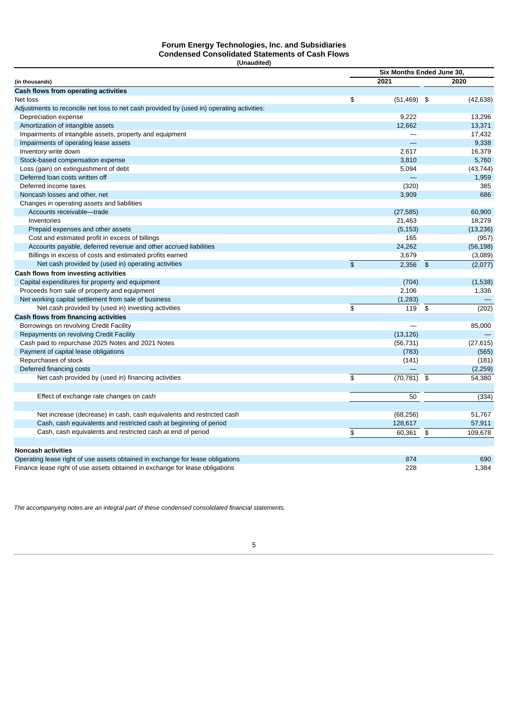#### **Forum Energy Technologies, Inc. and Subsidiaries Condensed Consolidated Statements of Cash Flows (Unaudited)**

|                                                                                           |                         | Six Months Ended June 30, |                |           |
|-------------------------------------------------------------------------------------------|-------------------------|---------------------------|----------------|-----------|
| (in thousands)                                                                            |                         | 2021                      |                | 2020      |
| Cash flows from operating activities                                                      |                         |                           |                |           |
| Net loss                                                                                  | \$                      | (51, 469)                 | \$             | (42, 638) |
| Adjustments to reconcile net loss to net cash provided by (used in) operating activities: |                         |                           |                |           |
| Depreciation expense                                                                      |                         | 9,222                     |                | 13,296    |
| Amortization of intangible assets                                                         |                         | 12,662                    |                | 13,371    |
| Impairments of intangible assets, property and equipment                                  |                         | —                         |                | 17,432    |
| Impairments of operating lease assets                                                     |                         |                           |                | 9,338     |
| Inventory write down                                                                      |                         | 2,617                     |                | 16,379    |
| Stock-based compensation expense                                                          |                         | 3,810                     |                | 5,760     |
| Loss (gain) on extinguishment of debt                                                     |                         | 5,094                     |                | (43, 744) |
| Deferred loan costs written off                                                           |                         |                           |                | 1,959     |
| Deferred income taxes                                                                     |                         | (320)                     |                | 385       |
| Noncash losses and other, net                                                             |                         | 3,909                     |                | 686       |
| Changes in operating assets and liabilities                                               |                         |                           |                |           |
| Accounts receivable-trade                                                                 |                         | (27, 585)                 |                | 60.900    |
| Inventories                                                                               |                         | 21,463                    |                | 18,279    |
| Prepaid expenses and other assets                                                         |                         | (5, 153)                  |                | (13, 236) |
| Cost and estimated profit in excess of billings                                           |                         | 165                       |                | (957)     |
| Accounts payable, deferred revenue and other accrued liabilities                          |                         | 24,262                    |                | (56, 198) |
| Billings in excess of costs and estimated profits earned                                  |                         | 3,679                     |                | (3,089)   |
| Net cash provided by (used in) operating activities                                       | $\mathfrak{S}$          | 2,356                     | $\frac{1}{2}$  | (2,077)   |
| Cash flows from investing activities                                                      |                         |                           |                |           |
| Capital expenditures for property and equipment                                           |                         | (704)                     |                | (1,538)   |
| Proceeds from sale of property and equipment                                              |                         | 2,106                     |                | 1,336     |
| Net working capital settlement from sale of business                                      |                         | (1, 283)                  |                |           |
| Net cash provided by (used in) investing activities                                       | \$                      | 119                       | \$             | (202)     |
|                                                                                           |                         |                           |                |           |
| Cash flows from financing activities                                                      |                         |                           |                | 85,000    |
| Borrowings on revolving Credit Facility                                                   |                         |                           |                |           |
| Repayments on revolving Credit Facility                                                   |                         | (13, 126)                 |                |           |
| Cash paid to repurchase 2025 Notes and 2021 Notes                                         |                         | (56, 731)                 |                | (27, 615) |
| Payment of capital lease obligations                                                      |                         | (783)                     |                | (565)     |
| Repurchases of stock                                                                      |                         | (141)                     |                | (181)     |
| Deferred financing costs                                                                  |                         |                           |                | (2,259)   |
| Net cash provided by (used in) financing activities                                       | $\overline{\mathbf{s}}$ | (70, 781)                 | \$             | 54,380    |
| Effect of exchange rate changes on cash                                                   |                         | 50                        |                | (334)     |
|                                                                                           |                         |                           |                |           |
| Net increase (decrease) in cash, cash equivalents and restricted cash                     |                         | (68, 256)                 |                | 51,767    |
| Cash, cash equivalents and restricted cash at beginning of period                         |                         | 128,617                   |                | 57,911    |
| Cash, cash equivalents and restricted cash at end of period                               | \$                      | 60,361                    | $\mathfrak{P}$ | 109,678   |
| <b>Noncash activities</b>                                                                 |                         |                           |                |           |
| Operating lease right of use assets obtained in exchange for lease obligations            |                         | 874                       |                | 690       |
| Finance lease right of use assets obtained in exchange for lease obligations              |                         | 228                       |                | 1,384     |

<span id="page-4-0"></span>*The accompanying notes are an integral part of these condensed consolidated financial statements.*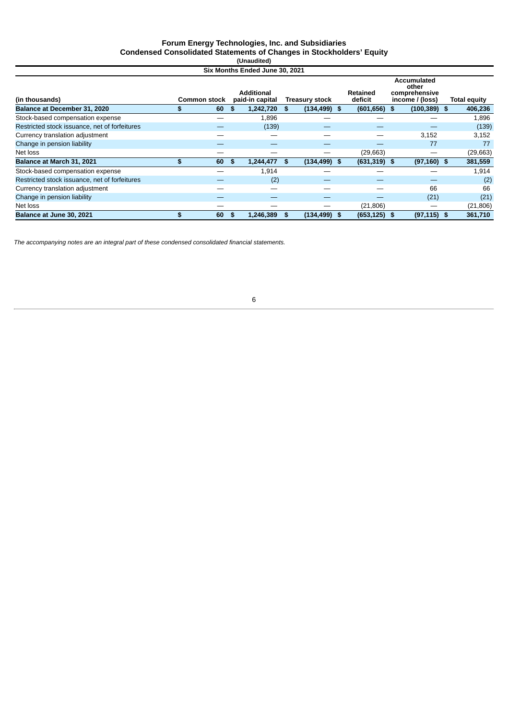#### **Forum Energy Technologies, Inc. and Subsidiaries Condensed Consolidated Statements of Changes in Stockholders' Equity (Unaudited)**

| Six Months Ended June 30, 2021 |  |  |
|--------------------------------|--|--|

|                                               |                     |    | בשטב וטט טוועט שטוועט שוויטויו אוט   |    |                       |                     |                                                          |                     |
|-----------------------------------------------|---------------------|----|--------------------------------------|----|-----------------------|---------------------|----------------------------------------------------------|---------------------|
| (in thousands)                                | <b>Common stock</b> |    | <b>Additional</b><br>paid-in capital |    | <b>Treasury stock</b> | Retained<br>deficit | Accumulated<br>other<br>comprehensive<br>income / (loss) | <b>Total equity</b> |
| Balance at December 31, 2020                  | 60                  | £. | 1,242,720                            | S. | $(134, 499)$ \$       | (601, 656)          | \$<br>$(100, 389)$ \$                                    | 406,236             |
| Stock-based compensation expense              |                     |    | 1,896                                |    |                       |                     |                                                          | 1,896               |
| Restricted stock issuance, net of forfeitures |                     |    | (139)                                |    |                       |                     |                                                          | (139)               |
| Currency translation adjustment               |                     |    |                                      |    |                       |                     | 3,152                                                    | 3,152               |
| Change in pension liability                   |                     |    | _                                    |    |                       |                     | 77                                                       | 77                  |
| Net loss                                      |                     |    |                                      |    |                       | (29, 663)           | --                                                       | (29,663)            |
| Balance at March 31, 2021                     | \$<br>60            | S  | 1,244,477                            | S. | $(134, 499)$ \$       | $(631, 319)$ \$     | $(97, 160)$ \$                                           | 381,559             |
| Stock-based compensation expense              |                     |    | 1,914                                |    |                       |                     |                                                          | 1,914               |
| Restricted stock issuance, net of forfeitures |                     |    | (2)                                  |    |                       |                     |                                                          | (2)                 |
| Currency translation adjustment               |                     |    |                                      |    |                       |                     | 66                                                       | 66                  |
| Change in pension liability                   |                     |    |                                      |    |                       |                     | (21)                                                     | (21)                |
| Net loss                                      |                     |    |                                      |    |                       | (21, 806)           | --                                                       | (21, 806)           |
| Balance at June 30, 2021                      | 60                  | S  | 1.246.389                            | \$ | $(134, 499)$ \$       | $(653, 125)$ \$     | $(97, 115)$ \$                                           | 361,710             |

*The accompanying notes are an integral part of these condensed consolidated financial statements.*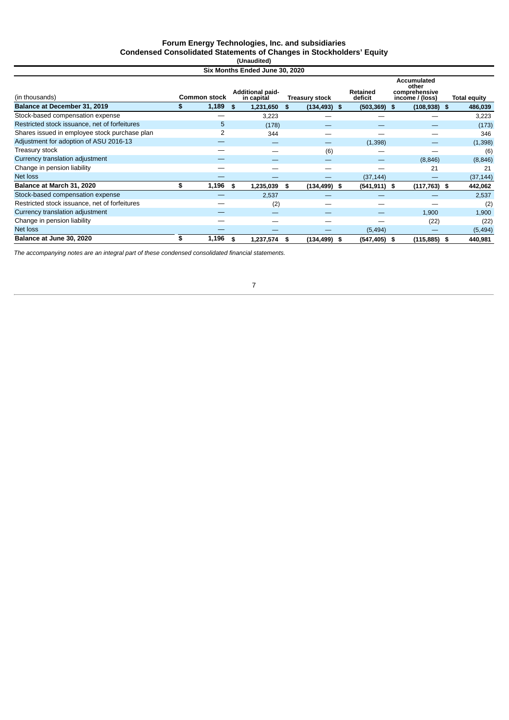#### **Forum Energy Technologies, Inc. and subsidiaries Condensed Consolidated Statements of Changes in Stockholders' Equity (Unaudited)**

| Six Months Ended June 30, 2020 |  |  |  |
|--------------------------------|--|--|--|

|                                               |                     |   | OIA MONGIU ENGCU VUNC 90. LOLO        |      |                       |                     |                                                                 |                     |
|-----------------------------------------------|---------------------|---|---------------------------------------|------|-----------------------|---------------------|-----------------------------------------------------------------|---------------------|
| (in thousands)                                | <b>Common stock</b> |   | <b>Additional paid-</b><br>in capital |      | <b>Treasury stock</b> | Retained<br>deficit | <b>Accumulated</b><br>other<br>comprehensive<br>income / (loss) | <b>Total equity</b> |
| Balance at December 31, 2019                  | 1,189<br>\$.        |   | 1,231,650<br>\$                       | \$   | $(134, 493)$ \$       | $(503, 369)$ \$     | $(108, 938)$ \$                                                 | 486,039             |
| Stock-based compensation expense              |                     |   | 3,223                                 |      |                       |                     |                                                                 | 3,223               |
| Restricted stock issuance, net of forfeitures |                     | 5 | (178)                                 |      |                       |                     |                                                                 | (173)               |
| Shares issued in employee stock purchase plan |                     | 2 | 344                                   |      |                       |                     |                                                                 | 346                 |
| Adjustment for adoption of ASU 2016-13        |                     |   |                                       |      |                       | (1, 398)            |                                                                 | (1, 398)            |
| Treasury stock                                |                     |   |                                       |      | (6)                   |                     |                                                                 | (6)                 |
| Currency translation adjustment               |                     |   |                                       |      |                       |                     | (8, 846)                                                        | (8, 846)            |
| Change in pension liability                   |                     |   |                                       |      |                       |                     | 21                                                              | 21                  |
| Net loss                                      |                     |   |                                       |      |                       | (37, 144)           |                                                                 | (37, 144)           |
| Balance at March 31, 2020                     | 1,196<br>\$         |   | 1,235,039<br>\$                       | - 56 | $(134, 499)$ \$       | $(541, 911)$ \$     | $(117,763)$ \$                                                  | 442,062             |
| Stock-based compensation expense              |                     |   | 2,537                                 |      |                       |                     |                                                                 | 2,537               |
| Restricted stock issuance, net of forfeitures |                     |   | (2)                                   |      |                       |                     |                                                                 | (2)                 |
| Currency translation adjustment               |                     |   |                                       |      |                       |                     | 1,900                                                           | 1,900               |
| Change in pension liability                   |                     |   |                                       |      |                       |                     | (22)                                                            | (22)                |
| Net loss                                      |                     |   |                                       |      |                       | (5, 494)            |                                                                 | (5, 494)            |
| Balance at June 30, 2020                      | 1,196<br>S          |   | 1,237,574<br>\$                       | - \$ | $(134, 499)$ \$       | (547,405)           | $(115, 885)$ \$<br>- \$                                         | 440,981             |

<span id="page-6-0"></span>*The accompanying notes are an integral part of these condensed consolidated financial statements.*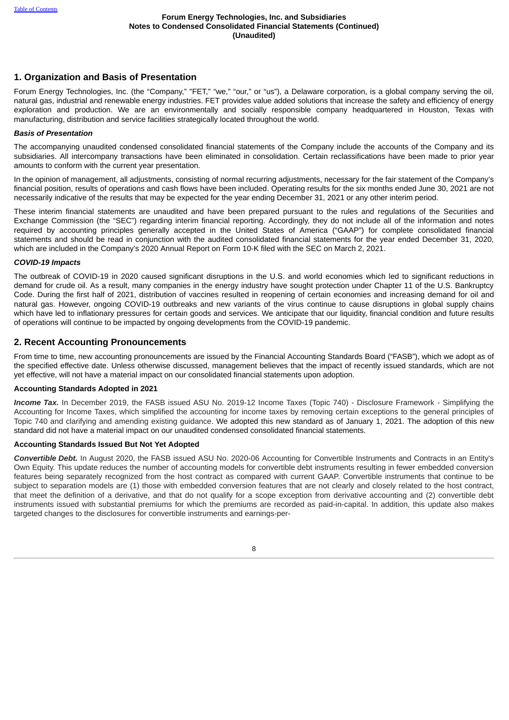## **1. Organization and Basis of Presentation**

Forum Energy Technologies, Inc. (the "Company," "FET," "we," "our," or "us"), a Delaware corporation, is a global company serving the oil, natural gas, industrial and renewable energy industries. FET provides value added solutions that increase the safety and efficiency of energy exploration and production. We are an environmentally and socially responsible company headquartered in Houston, Texas with manufacturing, distribution and service facilities strategically located throughout the world.

### *Basis of Presentation*

The accompanying unaudited condensed consolidated financial statements of the Company include the accounts of the Company and its subsidiaries. All intercompany transactions have been eliminated in consolidation. Certain reclassifications have been made to prior year amounts to conform with the current year presentation.

In the opinion of management, all adjustments, consisting of normal recurring adjustments, necessary for the fair statement of the Company's financial position, results of operations and cash flows have been included. Operating results for the six months ended June 30, 2021 are not necessarily indicative of the results that may be expected for the year ending December 31, 2021 or any other interim period.

These interim financial statements are unaudited and have been prepared pursuant to the rules and regulations of the Securities and Exchange Commission (the "SEC") regarding interim financial reporting. Accordingly, they do not include all of the information and notes required by accounting principles generally accepted in the United States of America ("GAAP") for complete consolidated financial statements and should be read in conjunction with the audited consolidated financial statements for the year ended December 31, 2020, which are included in the Company's 2020 Annual Report on Form 10-K filed with the SEC on March 2, 2021.

### *COVID-19 Impacts*

The outbreak of COVID-19 in 2020 caused significant disruptions in the U.S. and world economies which led to significant reductions in demand for crude oil. As a result, many companies in the energy industry have sought protection under Chapter 11 of the U.S. Bankruptcy Code. During the first half of 2021, distribution of vaccines resulted in reopening of certain economies and increasing demand for oil and natural gas. However, ongoing COVID-19 outbreaks and new variants of the virus continue to cause disruptions in global supply chains which have led to inflationary pressures for certain goods and services. We anticipate that our liquidity, financial condition and future results of operations will continue to be impacted by ongoing developments from the COVID-19 pandemic.

## **2. Recent Accounting Pronouncements**

From time to time, new accounting pronouncements are issued by the Financial Accounting Standards Board ("FASB"), which we adopt as of the specified effective date. Unless otherwise discussed, management believes that the impact of recently issued standards, which are not yet effective, will not have a material impact on our consolidated financial statements upon adoption.

## **Accounting Standards Adopted in 2021**

*Income Tax.* In December 2019, the FASB issued ASU No. 2019-12 Income Taxes (Topic 740) - Disclosure Framework - Simplifying the Accounting for Income Taxes, which simplified the accounting for income taxes by removing certain exceptions to the general principles of Topic 740 and clarifying and amending existing guidance. We adopted this new standard as of January 1, 2021. The adoption of this new standard did not have a material impact on our unaudited condensed consolidated financial statements.

## **Accounting Standards Issued But Not Yet Adopted**

*Convertible Debt.* In August 2020, the FASB issued ASU No. 2020-06 Accounting for Convertible Instruments and Contracts in an Entity's Own Equity. This update reduces the number of accounting models for convertible debt instruments resulting in fewer embedded conversion features being separately recognized from the host contract as compared with current GAAP. Convertible instruments that continue to be subject to separation models are (1) those with embedded conversion features that are not clearly and closely related to the host contract, that meet the definition of a derivative, and that do not qualify for a scope exception from derivative accounting and (2) convertible debt instruments issued with substantial premiums for which the premiums are recorded as paid-in-capital. In addition, this update also makes targeted changes to the disclosures for convertible instruments and earnings-per-

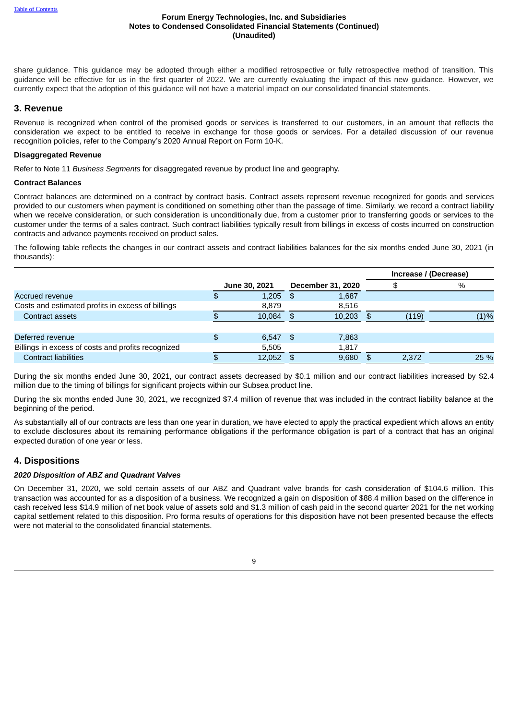share guidance. This guidance may be adopted through either a modified retrospective or fully retrospective method of transition. This guidance will be effective for us in the first quarter of 2022. We are currently evaluating the impact of this new guidance. However, we currently expect that the adoption of this guidance will not have a material impact on our consolidated financial statements.

## **3. Revenue**

Revenue is recognized when control of the promised goods or services is transferred to our customers, in an amount that reflects the consideration we expect to be entitled to receive in exchange for those goods or services. For a detailed discussion of our revenue recognition policies, refer to the Company's 2020 Annual Report on Form 10-K.

### **Disaggregated Revenue**

Refer to Note 11 *Business Segments* for disaggregated revenue by product line and geography.

### **Contract Balances**

Contract balances are determined on a contract by contract basis. Contract assets represent revenue recognized for goods and services provided to our customers when payment is conditioned on something other than the passage of time. Similarly, we record a contract liability when we receive consideration, or such consideration is unconditionally due, from a customer prior to transferring goods or services to the customer under the terms of a sales contract. Such contract liabilities typically result from billings in excess of costs incurred on construction contracts and advance payments received on product sales.

The following table reflects the changes in our contract assets and contract liabilities balances for the six months ended June 30, 2021 (in thousands):

|                                                    |               |     |                          |     |       | Increase / (Decrease) |      |
|----------------------------------------------------|---------------|-----|--------------------------|-----|-------|-----------------------|------|
|                                                    | June 30, 2021 |     | <b>December 31, 2020</b> |     |       | $\%$                  |      |
| Accrued revenue                                    | 1,205         | -\$ | 1,687                    |     |       |                       |      |
| Costs and estimated profits in excess of billings  | 8,879         |     | 8,516                    |     |       |                       |      |
| Contract assets                                    | 10.084        | \$. | 10,203                   | \$. | (119) |                       | (1)% |
|                                                    |               |     |                          |     |       |                       |      |
| Deferred revenue                                   | $6,547$ \$    |     | 7,863                    |     |       |                       |      |
| Billings in excess of costs and profits recognized | 5,505         |     | 1,817                    |     |       |                       |      |
| <b>Contract liabilities</b>                        | 12,052        |     | 9,680                    |     | 2.372 |                       | 25 % |

During the six months ended June 30, 2021, our contract assets decreased by \$0.1 million and our contract liabilities increased by \$2.4 million due to the timing of billings for significant projects within our Subsea product line.

During the six months ended June 30, 2021, we recognized \$7.4 million of revenue that was included in the contract liability balance at the beginning of the period.

As substantially all of our contracts are less than one year in duration, we have elected to apply the practical expedient which allows an entity to exclude disclosures about its remaining performance obligations if the performance obligation is part of a contract that has an original expected duration of one year or less.

# **4. Dispositions**

## *2020 Disposition of ABZ and Quadrant Valves*

On December 31, 2020, we sold certain assets of our ABZ and Quadrant valve brands for cash consideration of \$104.6 million. This transaction was accounted for as a disposition of a business. We recognized a gain on disposition of \$88.4 million based on the difference in cash received less \$14.9 million of net book value of assets sold and \$1.3 million of cash paid in the second quarter 2021 for the net working capital settlement related to this disposition. Pro forma results of operations for this disposition have not been presented because the effects were not material to the consolidated financial statements.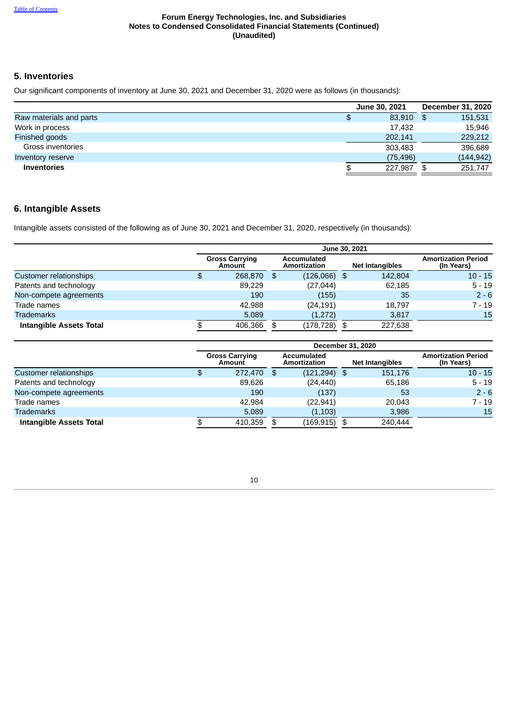# **5. Inventories**

Our significant components of inventory at June 30, 2021 and December 31, 2020 were as follows (in thousands):

|                         | June 30, 2021 | December 31, 2020 |
|-------------------------|---------------|-------------------|
| Raw materials and parts | \$<br>83.910  | \$<br>151,531     |
| Work in process         | 17.432        | 15,946            |
| Finished goods          | 202,141       | 229,212           |
| Gross inventories       | 303.483       | 396,689           |
| Inventory reserve       | (75, 496)     | (144, 942)        |
| <b>Inventories</b>      | \$<br>227.987 | \$<br>251,747     |

# **6. Intangible Assets**

Intangible assets consisted of the following as of June 30, 2021 and December 31, 2020, respectively (in thousands):

|                                | June 30, 2021                   |     |                                    |      |                        |                                          |  |  |  |  |
|--------------------------------|---------------------------------|-----|------------------------------------|------|------------------------|------------------------------------------|--|--|--|--|
|                                | <b>Gross Carrying</b><br>Amount |     | <b>Accumulated</b><br>Amortization |      | <b>Net Intangibles</b> | <b>Amortization Period</b><br>(In Years) |  |  |  |  |
| Customer relationships         | \$<br>268,870                   | -\$ | $(126,066)$ \$                     |      | 142,804                | $10 - 15$                                |  |  |  |  |
| Patents and technology         | 89.229                          |     | (27, 044)                          |      | 62,185                 | $5 - 19$                                 |  |  |  |  |
| Non-compete agreements         | 190                             |     | (155)                              |      | 35                     | $2 - 6$                                  |  |  |  |  |
| Trade names                    | 42,988                          |     | (24, 191)                          |      | 18.797                 | 7 - 19                                   |  |  |  |  |
| <b>Trademarks</b>              | 5.089                           |     | (1,272)                            |      | 3,817                  | 15                                       |  |  |  |  |
| <b>Intangible Assets Total</b> | 406.366                         | -\$ | (178,728)                          | - \$ | 227,638                |                                          |  |  |  |  |

|                                |   | December 31, 2020               |                                    |            |      |                        |                                          |  |  |  |  |  |
|--------------------------------|---|---------------------------------|------------------------------------|------------|------|------------------------|------------------------------------------|--|--|--|--|--|
|                                |   | <b>Gross Carrying</b><br>Amount | <b>Accumulated</b><br>Amortization |            |      | <b>Net Intangibles</b> | <b>Amortization Period</b><br>(In Years) |  |  |  |  |  |
| Customer relationships         | Ф | 272,470                         | -\$                                | (121, 294) | - \$ | 151.176                | $10 - 15$                                |  |  |  |  |  |
| Patents and technology         |   | 89.626                          |                                    | (24, 440)  |      | 65.186                 | $5 - 19$                                 |  |  |  |  |  |
| Non-compete agreements         |   | 190                             |                                    | (137)      |      | 53                     | $2 - 6$                                  |  |  |  |  |  |
| Trade names                    |   | 42.984                          |                                    | (22, 941)  |      | 20,043                 | 7 - 19                                   |  |  |  |  |  |
| <b>Trademarks</b>              |   | 5,089                           |                                    | (1, 103)   |      | 3,986                  | 15                                       |  |  |  |  |  |
| <b>Intangible Assets Total</b> |   | 410,359                         | \$                                 | (169, 915) | \$   | 240,444                |                                          |  |  |  |  |  |

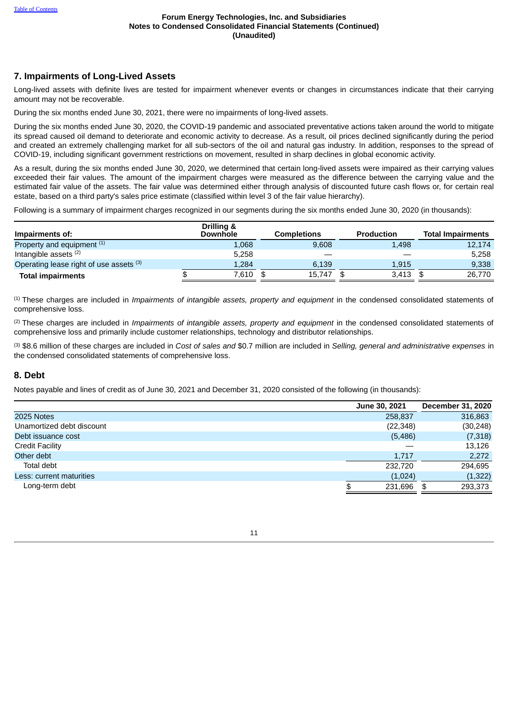## **7. Impairments of Long-Lived Assets**

Long-lived assets with definite lives are tested for impairment whenever events or changes in circumstances indicate that their carrying amount may not be recoverable.

During the six months ended June 30, 2021, there were no impairments of long-lived assets.

During the six months ended June 30, 2020, the COVID-19 pandemic and associated preventative actions taken around the world to mitigate its spread caused oil demand to deteriorate and economic activity to decrease. As a result, oil prices declined significantly during the period and created an extremely challenging market for all sub-sectors of the oil and natural gas industry. In addition, responses to the spread of COVID-19, including significant government restrictions on movement, resulted in sharp declines in global economic activity.

As a result, during the six months ended June 30, 2020, we determined that certain long-lived assets were impaired as their carrying values exceeded their fair values. The amount of the impairment charges were measured as the difference between the carrying value and the estimated fair value of the assets. The fair value was determined either through analysis of discounted future cash flows or, for certain real estate, based on a third party's sales price estimate (classified within level 3 of the fair value hierarchy).

Following is a summary of impairment charges recognized in our segments during the six months ended June 30, 2020 (in thousands):

| Impairments of:                         | Drilling &<br><b>Downhole</b> | <b>Completions</b> | <b>Production</b> | <b>Total Impairments</b> |
|-----------------------------------------|-------------------------------|--------------------|-------------------|--------------------------|
| Property and equipment <sup>(1)</sup>   | 1,068                         | 9.608              | 1,498             | 12,174                   |
| Intangible assets $(2)$                 | 5.258                         |                    |                   | 5.258                    |
| Operating lease right of use assets (3) | 1,284                         | 6.139              | 1,915             | 9,338                    |
| <b>Total impairments</b>                | 7,610                         | 15.747             | 3.413             | 26.770                   |

These charges are included in *Impairments of intangible assets, property and equipment* in the condensed consolidated statements of (1) comprehensive loss.

These charges are included in *Impairments of intangible assets, property and equipment* in the condensed consolidated statements of (2) comprehensive loss and primarily include customer relationships, technology and distributor relationships.

\$8.6 million of these charges are included in *Cost of sales and* \$0.7 million are included in *Selling, general and administrative expenses* in (3) the condensed consolidated statements of comprehensive loss.

# **8. Debt**

Notes payable and lines of credit as of June 30, 2021 and December 31, 2020 consisted of the following (in thousands):

|                           | June 30, 2021 | December 31, 2020 |
|---------------------------|---------------|-------------------|
| 2025 Notes                | 258,837       | 316,863           |
| Unamortized debt discount | (22, 348)     | (30, 248)         |
| Debt issuance cost        | (5,486)       | (7,318)           |
| <b>Credit Facility</b>    |               | 13,126            |
| Other debt                | 1,717         | 2,272             |
| Total debt                | 232,720       | 294.695           |
| Less: current maturities  | (1,024)       | (1, 322)          |
| Long-term debt            | 231,696<br>\$ | 293,373           |

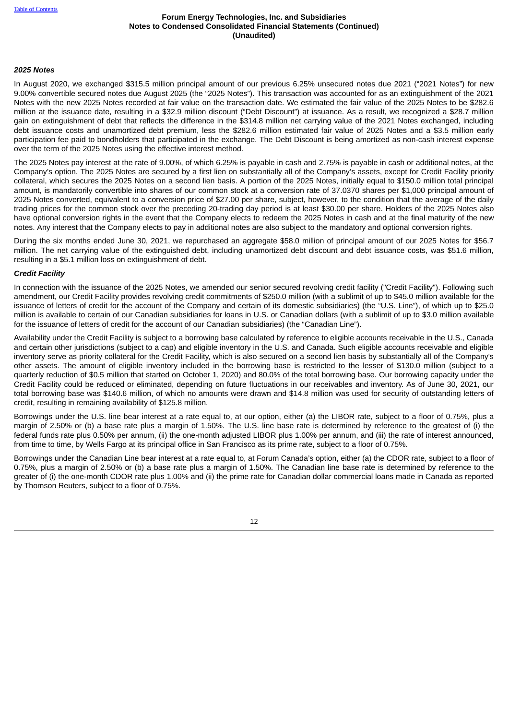## *2025 Notes*

In August 2020, we exchanged \$315.5 million principal amount of our previous 6.25% unsecured notes due 2021 ("2021 Notes") for new 9.00% convertible secured notes due August 2025 (the "2025 Notes"). This transaction was accounted for as an extinguishment of the 2021 Notes with the new 2025 Notes recorded at fair value on the transaction date. We estimated the fair value of the 2025 Notes to be \$282.6 million at the issuance date, resulting in a \$32.9 million discount ("Debt Discount") at issuance. As a result, we recognized a \$28.7 million gain on extinguishment of debt that reflects the difference in the \$314.8 million net carrying value of the 2021 Notes exchanged, including debt issuance costs and unamortized debt premium, less the \$282.6 million estimated fair value of 2025 Notes and a \$3.5 million early participation fee paid to bondholders that participated in the exchange. The Debt Discount is being amortized as non-cash interest expense over the term of the 2025 Notes using the effective interest method.

The 2025 Notes pay interest at the rate of 9.00%, of which 6.25% is payable in cash and 2.75% is payable in cash or additional notes, at the Company's option. The 2025 Notes are secured by a first lien on substantially all of the Company's assets, except for Credit Facility priority collateral, which secures the 2025 Notes on a second lien basis. A portion of the 2025 Notes, initially equal to \$150.0 million total principal amount, is mandatorily convertible into shares of our common stock at a conversion rate of 37.0370 shares per \$1,000 principal amount of 2025 Notes converted, equivalent to a conversion price of \$27.00 per share, subject, however, to the condition that the average of the daily trading prices for the common stock over the preceding 20-trading day period is at least \$30.00 per share. Holders of the 2025 Notes also have optional conversion rights in the event that the Company elects to redeem the 2025 Notes in cash and at the final maturity of the new notes. Any interest that the Company elects to pay in additional notes are also subject to the mandatory and optional conversion rights.

During the six months ended June 30, 2021, we repurchased an aggregate \$58.0 million of principal amount of our 2025 Notes for \$56.7 million. The net carrying value of the extinguished debt, including unamortized debt discount and debt issuance costs, was \$51.6 million, resulting in a \$5.1 million loss on extinguishment of debt.

### *Credit Facility*

In connection with the issuance of the 2025 Notes, we amended our senior secured revolving credit facility ("Credit Facility"). Following such amendment, our Credit Facility provides revolving credit commitments of \$250.0 million (with a sublimit of up to \$45.0 million available for the issuance of letters of credit for the account of the Company and certain of its domestic subsidiaries) (the "U.S. Line"), of which up to \$25.0 million is available to certain of our Canadian subsidiaries for loans in U.S. or Canadian dollars (with a sublimit of up to \$3.0 million available for the issuance of letters of credit for the account of our Canadian subsidiaries) (the "Canadian Line").

Availability under the Credit Facility is subject to a borrowing base calculated by reference to eligible accounts receivable in the U.S., Canada and certain other jurisdictions (subject to a cap) and eligible inventory in the U.S. and Canada. Such eligible accounts receivable and eligible inventory serve as priority collateral for the Credit Facility, which is also secured on a second lien basis by substantially all of the Company's other assets. The amount of eligible inventory included in the borrowing base is restricted to the lesser of \$130.0 million (subject to a quarterly reduction of \$0.5 million that started on October 1, 2020) and 80.0% of the total borrowing base. Our borrowing capacity under the Credit Facility could be reduced or eliminated, depending on future fluctuations in our receivables and inventory. As of June 30, 2021, our total borrowing base was \$140.6 million, of which no amounts were drawn and \$14.8 million was used for security of outstanding letters of credit, resulting in remaining availability of \$125.8 million.

Borrowings under the U.S. line bear interest at a rate equal to, at our option, either (a) the LIBOR rate, subject to a floor of 0.75%, plus a margin of 2.50% or (b) a base rate plus a margin of 1.50%. The U.S. line base rate is determined by reference to the greatest of (i) the federal funds rate plus 0.50% per annum, (ii) the one-month adjusted LIBOR plus 1.00% per annum, and (iii) the rate of interest announced, from time to time, by Wells Fargo at its principal office in San Francisco as its prime rate, subject to a floor of 0.75%.

Borrowings under the Canadian Line bear interest at a rate equal to, at Forum Canada's option, either (a) the CDOR rate, subject to a floor of 0.75%, plus a margin of 2.50% or (b) a base rate plus a margin of 1.50%. The Canadian line base rate is determined by reference to the greater of (i) the one-month CDOR rate plus 1.00% and (ii) the prime rate for Canadian dollar commercial loans made in Canada as reported by Thomson Reuters, subject to a floor of 0.75%.

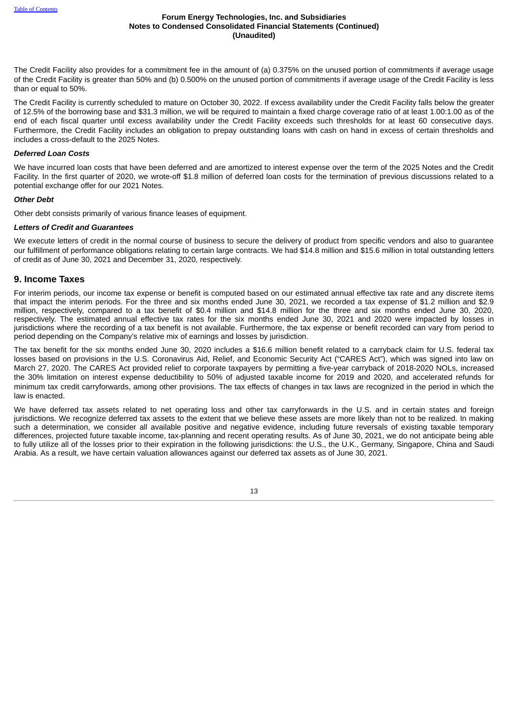The Credit Facility also provides for a commitment fee in the amount of (a) 0.375% on the unused portion of commitments if average usage of the Credit Facility is greater than 50% and (b) 0.500% on the unused portion of commitments if average usage of the Credit Facility is less than or equal to 50%.

The Credit Facility is currently scheduled to mature on October 30, 2022. If excess availability under the Credit Facility falls below the greater of 12.5% of the borrowing base and \$31.3 million, we will be required to maintain a fixed charge coverage ratio of at least 1.00:1.00 as of the end of each fiscal quarter until excess availability under the Credit Facility exceeds such thresholds for at least 60 consecutive days. Furthermore, the Credit Facility includes an obligation to prepay outstanding loans with cash on hand in excess of certain thresholds and includes a cross-default to the 2025 Notes.

#### *Deferred Loan Costs*

We have incurred loan costs that have been deferred and are amortized to interest expense over the term of the 2025 Notes and the Credit Facility. In the first quarter of 2020, we wrote-off \$1.8 million of deferred loan costs for the termination of previous discussions related to a potential exchange offer for our 2021 Notes.

#### *Other Debt*

Other debt consists primarily of various finance leases of equipment.

### *Letters of Credit and Guarantees*

We execute letters of credit in the normal course of business to secure the delivery of product from specific vendors and also to quarantee our fulfillment of performance obligations relating to certain large contracts. We had \$14.8 million and \$15.6 million in total outstanding letters of credit as of June 30, 2021 and December 31, 2020, respectively.

## **9. Income Taxes**

For interim periods, our income tax expense or benefit is computed based on our estimated annual effective tax rate and any discrete items that impact the interim periods. For the three and six months ended June 30, 2021, we recorded a tax expense of \$1.2 million and \$2.9 million, respectively, compared to a tax benefit of \$0.4 million and \$14.8 million for the three and six months ended June 30, 2020, respectively. The estimated annual effective tax rates for the six months ended June 30, 2021 and 2020 were impacted by losses in jurisdictions where the recording of a tax benefit is not available. Furthermore, the tax expense or benefit recorded can vary from period to period depending on the Company's relative mix of earnings and losses by jurisdiction.

The tax benefit for the six months ended June 30, 2020 includes a \$16.6 million benefit related to a carryback claim for U.S. federal tax losses based on provisions in the U.S. Coronavirus Aid, Relief, and Economic Security Act ("CARES Act"), which was signed into law on March 27, 2020. The CARES Act provided relief to corporate taxpayers by permitting a five-year carryback of 2018-2020 NOLs, increased the 30% limitation on interest expense deductibility to 50% of adjusted taxable income for 2019 and 2020, and accelerated refunds for minimum tax credit carryforwards, among other provisions. The tax effects of changes in tax laws are recognized in the period in which the law is enacted.

We have deferred tax assets related to net operating loss and other tax carryforwards in the U.S. and in certain states and foreign jurisdictions. We recognize deferred tax assets to the extent that we believe these assets are more likely than not to be realized. In making such a determination, we consider all available positive and negative evidence, including future reversals of existing taxable temporary differences, projected future taxable income, tax-planning and recent operating results. As of June 30, 2021, we do not anticipate being able to fully utilize all of the losses prior to their expiration in the following jurisdictions: the U.S., the U.K., Germany, Singapore, China and Saudi Arabia. As a result, we have certain valuation allowances against our deferred tax assets as of June 30, 2021.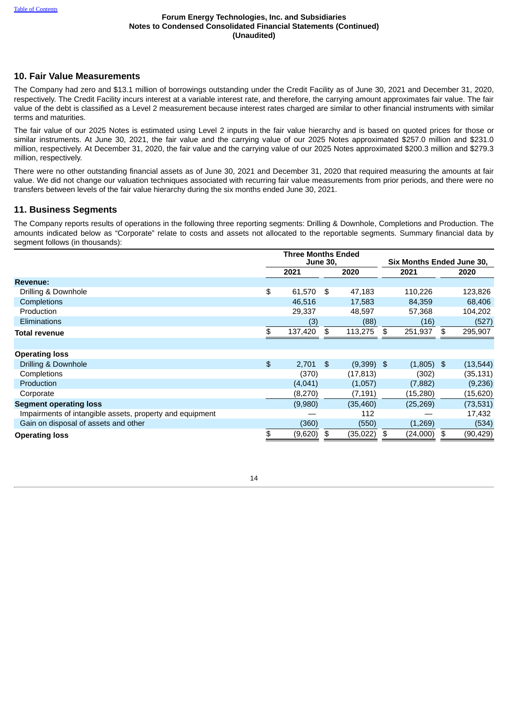## **10. Fair Value Measurements**

The Company had zero and \$13.1 million of borrowings outstanding under the Credit Facility as of June 30, 2021 and December 31, 2020, respectively. The Credit Facility incurs interest at a variable interest rate, and therefore, the carrying amount approximates fair value. The fair value of the debt is classified as a Level 2 measurement because interest rates charged are similar to other financial instruments with similar terms and maturities.

The fair value of our 2025 Notes is estimated using Level 2 inputs in the fair value hierarchy and is based on quoted prices for those or similar instruments. At June 30, 2021, the fair value and the carrying value of our 2025 Notes approximated \$257.0 million and \$231.0 million, respectively. At December 31, 2020, the fair value and the carrying value of our 2025 Notes approximated \$200.3 million and \$279.3 million, respectively.

There were no other outstanding financial assets as of June 30, 2021 and December 31, 2020 that required measuring the amounts at fair value. We did not change our valuation techniques associated with recurring fair value measurements from prior periods, and there were no transfers between levels of the fair value hierarchy during the six months ended June 30, 2021.

# **11. Business Segments**

The Company reports results of operations in the following three reporting segments: Drilling & Downhole, Completions and Production. The amounts indicated below as "Corporate" relate to costs and assets not allocated to the reportable segments. Summary financial data by segment follows (in thousands):

|                                                          | <b>Three Months Ended</b><br><b>June 30,</b> |      |              |    | Six Months Ended June 30, |    |           |
|----------------------------------------------------------|----------------------------------------------|------|--------------|----|---------------------------|----|-----------|
|                                                          | 2021                                         |      | 2020         |    | 2021                      |    | 2020      |
| Revenue:                                                 |                                              |      |              |    |                           |    |           |
| Drilling & Downhole                                      | \$<br>61,570                                 | - \$ | 47,183       |    | 110,226                   |    | 123,826   |
| Completions                                              | 46,516                                       |      | 17,583       |    | 84,359                    |    | 68,406    |
| Production                                               | 29,337                                       |      | 48,597       |    | 57,368                    |    | 104,202   |
| <b>Eliminations</b>                                      | (3)                                          |      | (88)         |    | (16)                      |    | (527)     |
| <b>Total revenue</b>                                     | 137,420                                      | \$   | 113,275      | \$ | 251,937                   | \$ | 295,907   |
|                                                          |                                              |      |              |    |                           |    |           |
| <b>Operating loss</b>                                    |                                              |      |              |    |                           |    |           |
| Drilling & Downhole                                      | \$<br>$2,701$ \$                             |      | $(9,399)$ \$ |    | $(1,805)$ \$              |    | (13, 544) |
| Completions                                              | (370)                                        |      | (17, 813)    |    | (302)                     |    | (35, 131) |
| Production                                               | (4,041)                                      |      | (1,057)      |    | (7, 882)                  |    | (9,236)   |
| Corporate                                                | (8, 270)                                     |      | (7, 191)     |    | (15, 280)                 |    | (15,620)  |
| <b>Segment operating loss</b>                            | (9,980)                                      |      | (35, 460)    |    | (25, 269)                 |    | (73, 531) |
| Impairments of intangible assets, property and equipment |                                              |      | 112          |    |                           |    | 17,432    |
| Gain on disposal of assets and other                     | (360)                                        |      | (550)        |    | (1,269)                   |    | (534)     |
| <b>Operating loss</b>                                    | (9,620)                                      | \$   | (35, 022)    | \$ | (24,000)                  | \$ | (90, 429) |

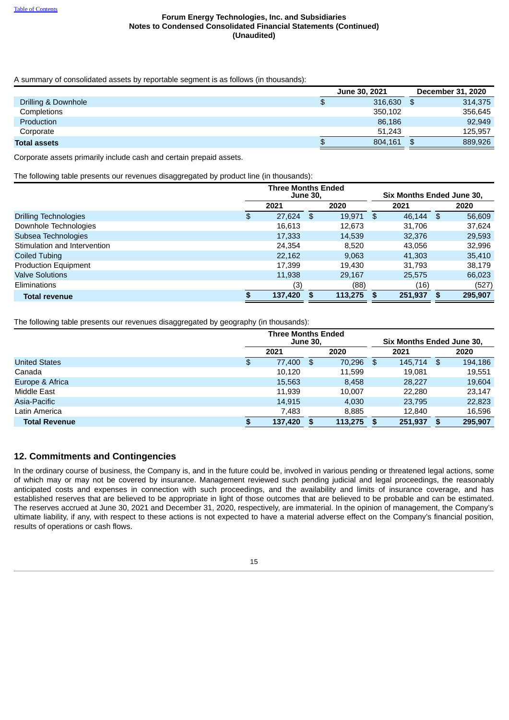A summary of consolidated assets by reportable segment is as follows (in thousands):

|                     | <b>June 30, 2021</b> | December 31, 2020 |
|---------------------|----------------------|-------------------|
| Drilling & Downhole | \$<br>316,630        | 314.375<br>\$     |
| Completions         | 350.102              | 356.645           |
| Production          | 86,186               | 92.949            |
| Corporate           | 51.243               | 125.957           |
| <b>Total assets</b> | \$<br>804,161        | 889,926           |

Corporate assets primarily include cash and certain prepaid assets.

The following table presents our revenues disaggregated by product line (in thousands):

|                              | <b>Three Months Ended</b><br><b>June 30,</b> |         |    |         |    | Six Months Ended June 30, |    |         |  |
|------------------------------|----------------------------------------------|---------|----|---------|----|---------------------------|----|---------|--|
|                              |                                              | 2021    |    | 2020    |    | 2021                      |    | 2020    |  |
| <b>Drilling Technologies</b> | \$                                           | 27,624  | \$ | 19,971  | \$ | 46.144                    | \$ | 56,609  |  |
| Downhole Technologies        |                                              | 16,613  |    | 12.673  |    | 31.706                    |    | 37.624  |  |
| Subsea Technologies          |                                              | 17,333  |    | 14,539  |    | 32,376                    |    | 29,593  |  |
| Stimulation and Intervention |                                              | 24.354  |    | 8,520   |    | 43.056                    |    | 32,996  |  |
| Coiled Tubing                |                                              | 22.162  |    | 9.063   |    | 41,303                    |    | 35,410  |  |
| <b>Production Equipment</b>  |                                              | 17.399  |    | 19.430  |    | 31.793                    |    | 38.179  |  |
| <b>Valve Solutions</b>       |                                              | 11,938  |    | 29.167  |    | 25,575                    |    | 66,023  |  |
| Eliminations                 |                                              | (3)     |    | (88)    |    | (16)                      |    | (527)   |  |
| <b>Total revenue</b>         | S                                            | 137,420 |    | 113,275 |    | 251,937                   | S  | 295,907 |  |

The following table presents our revenues disaggregated by geography (in thousands):

|                      |    | <b>Three Months Ended</b><br><b>June 30,</b> |    |         |     |         |    | <b>Six Months Ended June 30.</b> |  |  |
|----------------------|----|----------------------------------------------|----|---------|-----|---------|----|----------------------------------|--|--|
|                      |    | 2021                                         |    | 2020    |     | 2021    |    | 2020                             |  |  |
| <b>United States</b> | \$ | 77,400                                       | \$ | 70,296  | \$  | 145.714 | \$ | 194,186                          |  |  |
| Canada               |    | 10.120                                       |    | 11,599  |     | 19.081  |    | 19,551                           |  |  |
| Europe & Africa      |    | 15,563                                       |    | 8,458   |     | 28,227  |    | 19,604                           |  |  |
| Middle East          |    | 11.939                                       |    | 10.007  |     | 22,280  |    | 23.147                           |  |  |
| Asia-Pacific         |    | 14.915                                       |    | 4.030   |     | 23.795  |    | 22,823                           |  |  |
| Latin America        |    | 7.483                                        |    | 8,885   |     | 12.840  |    | 16.596                           |  |  |
| <b>Total Revenue</b> | œ  | 137.420                                      | S  | 113,275 | \$. | 251.937 |    | 295.907                          |  |  |

# **12. Commitments and Contingencies**

In the ordinary course of business, the Company is, and in the future could be, involved in various pending or threatened legal actions, some of which may or may not be covered by insurance. Management reviewed such pending judicial and legal proceedings, the reasonably anticipated costs and expenses in connection with such proceedings, and the availability and limits of insurance coverage, and has established reserves that are believed to be appropriate in light of those outcomes that are believed to be probable and can be estimated. The reserves accrued at June 30, 2021 and December 31, 2020, respectively, are immaterial. In the opinion of management, the Company's ultimate liability, if any, with respect to these actions is not expected to have a material adverse effect on the Company's financial position, results of operations or cash flows.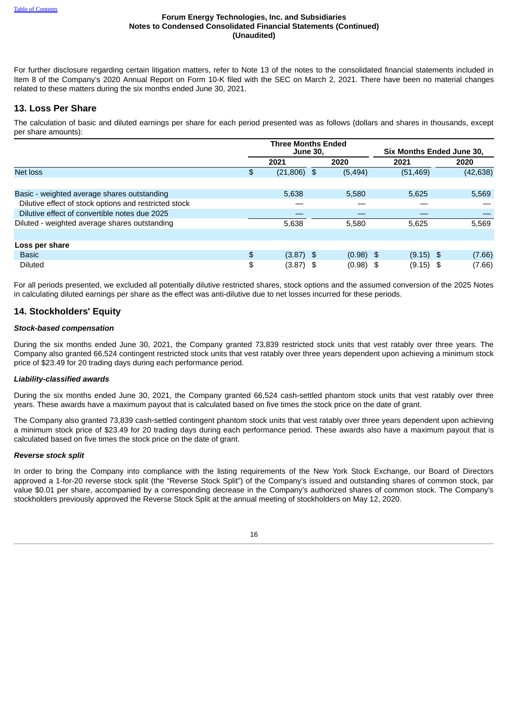For further disclosure regarding certain litigation matters, refer to Note 13 of the notes to the consolidated financial statements included in Item 8 of the Company's 2020 Annual Report on Form 10-K filed with the SEC on March 2, 2021. There have been no material changes related to these matters during the six months ended June 30, 2021.

## **13. Loss Per Share**

The calculation of basic and diluted earnings per share for each period presented was as follows (dollars and shares in thousands, except per share amounts):

|                                                       | <b>Three Months Ended</b><br><b>June 30,</b> |             | Six Months Ended June 30, |  |           |  |
|-------------------------------------------------------|----------------------------------------------|-------------|---------------------------|--|-----------|--|
|                                                       | 2021                                         | 2020        | 2021                      |  | 2020      |  |
| <b>Net loss</b>                                       | \$<br>$(21,806)$ \$                          | (5, 494)    | (51, 469)                 |  | (42, 638) |  |
|                                                       |                                              |             |                           |  |           |  |
| Basic - weighted average shares outstanding           | 5.638                                        | 5.580       | 5,625                     |  | 5,569     |  |
| Dilutive effect of stock options and restricted stock |                                              |             |                           |  |           |  |
| Dilutive effect of convertible notes due 2025         |                                              |             |                           |  |           |  |
| Diluted - weighted average shares outstanding         | 5,638                                        | 5,580       | 5,625                     |  | 5,569     |  |
|                                                       |                                              |             |                           |  |           |  |
| Loss per share                                        |                                              |             |                           |  |           |  |
| <b>Basic</b>                                          | \$<br>$(3.87)$ \$                            | $(0.98)$ \$ | $(9.15)$ \$               |  | (7.66)    |  |
| <b>Diluted</b>                                        | \$<br>$(3.87)$ \$                            | $(0.98)$ \$ | $(9.15)$ \$               |  | (7.66)    |  |

For all periods presented, we excluded all potentially dilutive restricted shares, stock options and the assumed conversion of the 2025 Notes in calculating diluted earnings per share as the effect was anti-dilutive due to net losses incurred for these periods.

## **14. Stockholders' Equity**

### *Stock-based compensation*

During the six months ended June 30, 2021, the Company granted 73,839 restricted stock units that vest ratably over three years. The Company also granted 66,524 contingent restricted stock units that vest ratably over three years dependent upon achieving a minimum stock price of \$23.49 for 20 trading days during each performance period.

### *Liability-classified awards*

During the six months ended June 30, 2021, the Company granted 66,524 cash-settled phantom stock units that vest ratably over three years. These awards have a maximum payout that is calculated based on five times the stock price on the date of grant.

The Company also granted 73,839 cash-settled contingent phantom stock units that vest ratably over three years dependent upon achieving a minimum stock price of \$23.49 for 20 trading days during each performance period. These awards also have a maximum payout that is calculated based on five times the stock price on the date of grant.

### *Reverse stock split*

In order to bring the Company into compliance with the listing requirements of the New York Stock Exchange, our Board of Directors approved a 1-for-20 reverse stock split (the "Reverse Stock Split") of the Company's issued and outstanding shares of common stock, par value \$0.01 per share, accompanied by a corresponding decrease in the Company's authorized shares of common stock. The Company's stockholders previously approved the Reverse Stock Split at the annual meeting of stockholders on May 12, 2020.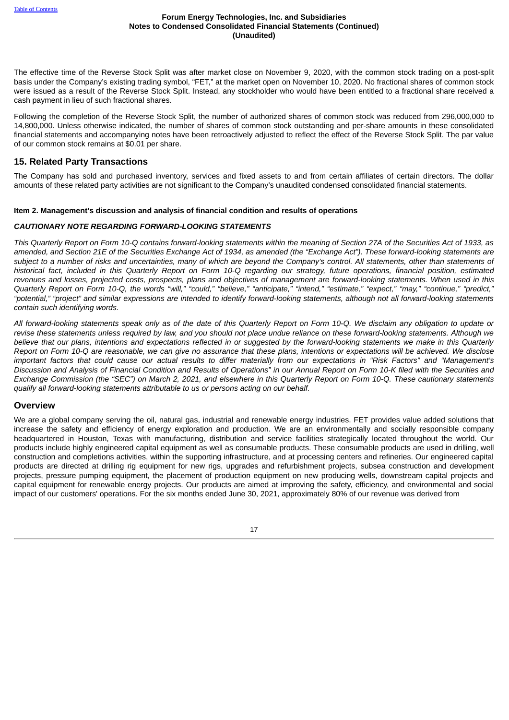The effective time of the Reverse Stock Split was after market close on November 9, 2020, with the common stock trading on a post-split basis under the Company's existing trading symbol, "FET," at the market open on November 10, 2020. No fractional shares of common stock were issued as a result of the Reverse Stock Split. Instead, any stockholder who would have been entitled to a fractional share received a cash payment in lieu of such fractional shares.

Following the completion of the Reverse Stock Split, the number of authorized shares of common stock was reduced from 296,000,000 to 14,800,000. Unless otherwise indicated, the number of shares of common stock outstanding and per-share amounts in these consolidated financial statements and accompanying notes have been retroactively adjusted to reflect the effect of the Reverse Stock Split. The par value of our common stock remains at \$0.01 per share.

## **15. Related Party Transactions**

The Company has sold and purchased inventory, services and fixed assets to and from certain affiliates of certain directors. The dollar amounts of these related party activities are not significant to the Company's unaudited condensed consolidated financial statements.

## <span id="page-16-0"></span>**Item 2. Management's discussion and analysis of financial condition and results of operations**

## *CAUTIONARY NOTE REGARDING FORWARD-LOOKING STATEMENTS*

This Quarterly Report on Form 10-O contains forward-looking statements within the meaning of Section 27A of the Securities Act of 1933, as amended, and Section 21E of the Securities Exchange Act of 1934, as amended (the "Exchange Act"). These forward-looking statements are subject to a number of risks and uncertainties, many of which are beyond the Company's control. All statements, other than statements of historical fact, included in this Quarterly Report on Form 10-Q regarding our strategy, future operations, financial position, estimated revenues and losses, projected costs, prospects, plans and objectives of management are forward-looking statements. When used in this Quarterly Report on Form 10-Q, the words "will," "could," "believe," "anticipate," "intend," "estimate," "expect," "may," "continue," "predict," "potential." "project" and similar expressions are intended to identify forward-looking statements, although not all forward-looking statements *contain such identifying words.*

All forward-looking statements speak only as of the date of this Ouarterly Report on Form 10-O. We disclaim any obligation to update or revise these statements unless required by law, and you should not place undue reliance on these forward-looking statements. Although we believe that our plans, intentions and expectations reflected in or suggested by the forward-looking statements we make in this Ouarterly Report on Form 10-Q are reasonable, we can give no assurance that these plans, intentions or expectations will be achieved. We disclose important factors that could cause our actual results to differ materially from our expectations in "Risk Factors" and "Management's Discussion and Analysis of Financial Condition and Results of Operations" in our Annual Report on Form 10-K filed with the Securities and Exchange Commission (the "SEC") on March 2, 2021, and elsewhere in this Quarterly Report on Form 10-Q. These cautionary statements *qualify all forward-looking statements attributable to us or persons acting on our behalf.*

## **Overview**

We are a global company serving the oil, natural gas, industrial and renewable energy industries. FET provides value added solutions that increase the safety and efficiency of energy exploration and production. We are an environmentally and socially responsible company headquartered in Houston, Texas with manufacturing, distribution and service facilities strategically located throughout the world. Our products include highly engineered capital equipment as well as consumable products. These consumable products are used in drilling, well construction and completions activities, within the supporting infrastructure, and at processing centers and refineries. Our engineered capital products are directed at drilling rig equipment for new rigs, upgrades and refurbishment projects, subsea construction and development projects, pressure pumping equipment, the placement of production equipment on new producing wells, downstream capital projects and capital equipment for renewable energy projects. Our products are aimed at improving the safety, efficiency, and environmental and social impact of our customers' operations. For the six months ended June 30, 2021, approximately 80% of our revenue was derived from

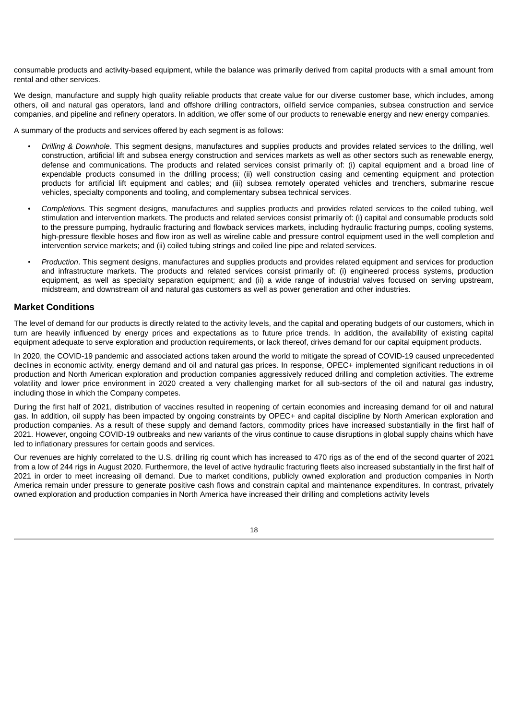consumable products and activity-based equipment, while the balance was primarily derived from capital products with a small amount from rental and other services.

We design, manufacture and supply high quality reliable products that create value for our diverse customer base, which includes, among others, oil and natural gas operators, land and offshore drilling contractors, oilfield service companies, subsea construction and service companies, and pipeline and refinery operators. In addition, we offer some of our products to renewable energy and new energy companies.

A summary of the products and services offered by each segment is as follows:

- *Drilling & Downhole*. This segment designs, manufactures and supplies products and provides related services to the drilling, well construction, artificial lift and subsea energy construction and services markets as well as other sectors such as renewable energy, defense and communications. The products and related services consist primarily of: (i) capital equipment and a broad line of expendable products consumed in the drilling process; (ii) well construction casing and cementing equipment and protection products for artificial lift equipment and cables; and (iii) subsea remotely operated vehicles and trenchers, submarine rescue vehicles, specialty components and tooling, and complementary subsea technical services.
- *Completions.* This segment designs, manufactures and supplies products and provides related services to the coiled tubing, well stimulation and intervention markets. The products and related services consist primarily of: (i) capital and consumable products sold to the pressure pumping, hydraulic fracturing and flowback services markets, including hydraulic fracturing pumps, cooling systems, high-pressure flexible hoses and flow iron as well as wireline cable and pressure control equipment used in the well completion and intervention service markets; and (ii) coiled tubing strings and coiled line pipe and related services.
- *Production*. This segment designs, manufactures and supplies products and provides related equipment and services for production and infrastructure markets. The products and related services consist primarily of: (i) engineered process systems, production equipment, as well as specialty separation equipment; and (ii) a wide range of industrial valves focused on serving upstream, midstream, and downstream oil and natural gas customers as well as power generation and other industries.

## **Market Conditions**

The level of demand for our products is directly related to the activity levels, and the capital and operating budgets of our customers, which in turn are heavily influenced by energy prices and expectations as to future price trends. In addition, the availability of existing capital equipment adequate to serve exploration and production requirements, or lack thereof, drives demand for our capital equipment products.

In 2020, the COVID-19 pandemic and associated actions taken around the world to mitigate the spread of COVID-19 caused unprecedented declines in economic activity, energy demand and oil and natural gas prices. In response, OPEC+ implemented significant reductions in oil production and North American exploration and production companies aggressively reduced drilling and completion activities. The extreme volatility and lower price environment in 2020 created a very challenging market for all sub-sectors of the oil and natural gas industry, including those in which the Company competes.

During the first half of 2021, distribution of vaccines resulted in reopening of certain economies and increasing demand for oil and natural gas. In addition, oil supply has been impacted by ongoing constraints by OPEC+ and capital discipline by North American exploration and production companies. As a result of these supply and demand factors, commodity prices have increased substantially in the first half of 2021. However, ongoing COVID-19 outbreaks and new variants of the virus continue to cause disruptions in global supply chains which have led to inflationary pressures for certain goods and services.

Our revenues are highly correlated to the U.S. drilling rig count which has increased to 470 rigs as of the end of the second quarter of 2021 from a low of 244 rigs in August 2020. Furthermore, the level of active hydraulic fracturing fleets also increased substantially in the first half of 2021 in order to meet increasing oil demand. Due to market conditions, publicly owned exploration and production companies in North America remain under pressure to generate positive cash flows and constrain capital and maintenance expenditures. In contrast, privately owned exploration and production companies in North America have increased their drilling and completions activity levels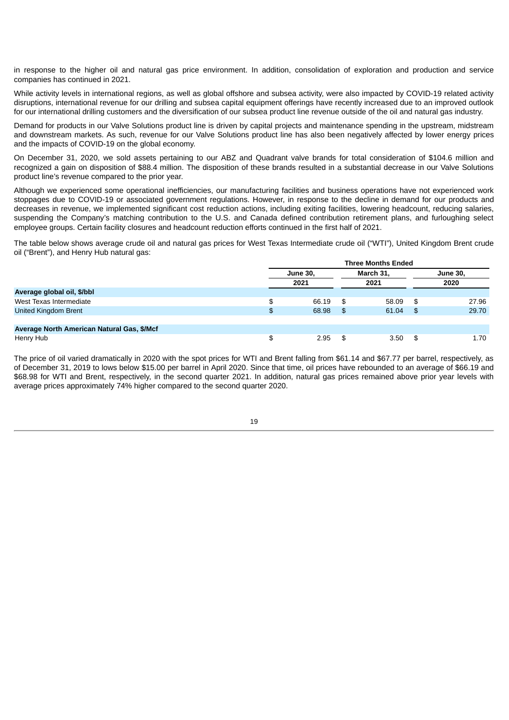in response to the higher oil and natural gas price environment. In addition, consolidation of exploration and production and service companies has continued in 2021.

While activity levels in international regions, as well as global offshore and subsea activity, were also impacted by COVID-19 related activity disruptions, international revenue for our drilling and subsea capital equipment offerings have recently increased due to an improved outlook for our international drilling customers and the diversification of our subsea product line revenue outside of the oil and natural gas industry.

Demand for products in our Valve Solutions product line is driven by capital projects and maintenance spending in the upstream, midstream and downstream markets. As such, revenue for our Valve Solutions product line has also been negatively affected by lower energy prices and the impacts of COVID-19 on the global economy.

On December 31, 2020, we sold assets pertaining to our ABZ and Quadrant valve brands for total consideration of \$104.6 million and recognized a gain on disposition of \$88.4 million. The disposition of these brands resulted in a substantial decrease in our Valve Solutions product line's revenue compared to the prior year.

Although we experienced some operational inefficiencies, our manufacturing facilities and business operations have not experienced work stoppages due to COVID-19 or associated government regulations. However, in response to the decline in demand for our products and decreases in revenue, we implemented significant cost reduction actions, including exiting facilities, lowering headcount, reducing salaries, suspending the Company's matching contribution to the U.S. and Canada defined contribution retirement plans, and furloughing select employee groups. Certain facility closures and headcount reduction efforts continued in the first half of 2021.

The table below shows average crude oil and natural gas prices for West Texas Intermediate crude oil ("WTI"), United Kingdom Brent crude oil ("Brent"), and Henry Hub natural gas:

|                                            | <b>Three Months Ended</b> |          |     |           |                  |       |  |  |  |  |
|--------------------------------------------|---------------------------|----------|-----|-----------|------------------|-------|--|--|--|--|
|                                            |                           | June 30, |     | March 31, | June 30,<br>2020 |       |  |  |  |  |
|                                            |                           | 2021     |     | 2021      |                  |       |  |  |  |  |
| Average global oil, \$/bbl                 |                           |          |     |           |                  |       |  |  |  |  |
| West Texas Intermediate                    | \$                        | 66.19    | -\$ | 58.09     | \$               | 27.96 |  |  |  |  |
| United Kingdom Brent                       | \$                        | 68.98    | -\$ | 61.04     | \$               | 29.70 |  |  |  |  |
|                                            |                           |          |     |           |                  |       |  |  |  |  |
| Average North American Natural Gas, \$/Mcf |                           |          |     |           |                  |       |  |  |  |  |
| Henry Hub                                  | \$                        | 2.95     | -\$ | 3.50      | £.               | 1.70  |  |  |  |  |

The price of oil varied dramatically in 2020 with the spot prices for WTI and Brent falling from \$61.14 and \$67.77 per barrel, respectively, as of December 31, 2019 to lows below \$15.00 per barrel in April 2020. Since that time, oil prices have rebounded to an average of \$66.19 and \$68.98 for WTI and Brent, respectively, in the second quarter 2021. In addition, natural gas prices remained above prior year levels with average prices approximately 74% higher compared to the second quarter 2020.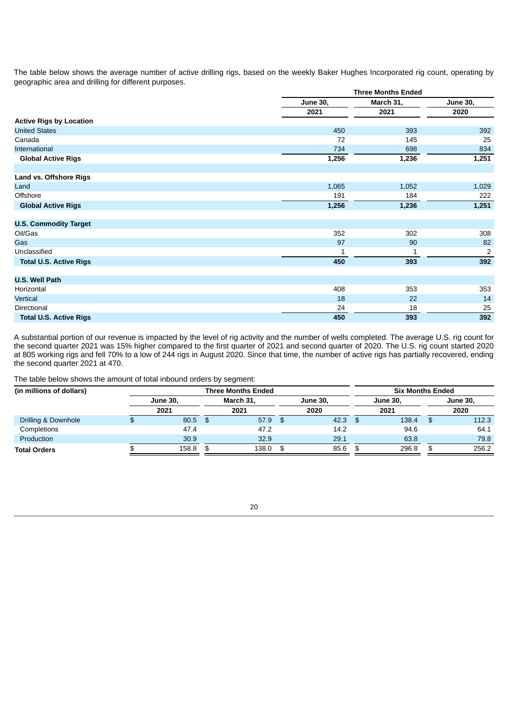The table below shows the average number of active drilling rigs, based on the weekly Baker Hughes Incorporated rig count, operating by geographic area and drilling for different purposes.

|                                |          | <b>Three Months Ended</b> |                         |  |  |  |  |  |
|--------------------------------|----------|---------------------------|-------------------------|--|--|--|--|--|
|                                | June 30, | March 31,                 | June 30,                |  |  |  |  |  |
|                                | 2021     | 2021                      | 2020                    |  |  |  |  |  |
| <b>Active Rigs by Location</b> |          |                           |                         |  |  |  |  |  |
| <b>United States</b>           | 450      | 393                       | 392                     |  |  |  |  |  |
| Canada                         | 72       | 145                       | 25                      |  |  |  |  |  |
| International                  | 734      | 698                       | 834                     |  |  |  |  |  |
| <b>Global Active Rigs</b>      | 1,256    | 1,236                     | 1,251                   |  |  |  |  |  |
|                                |          |                           |                         |  |  |  |  |  |
| Land vs. Offshore Rigs         |          |                           |                         |  |  |  |  |  |
| Land                           | 1,065    | 1,052                     | 1,029                   |  |  |  |  |  |
| Offshore                       | 191      | 184                       | 222                     |  |  |  |  |  |
| <b>Global Active Rigs</b>      | 1,256    | 1,236                     | 1,251                   |  |  |  |  |  |
|                                |          |                           |                         |  |  |  |  |  |
| <b>U.S. Commodity Target</b>   |          |                           |                         |  |  |  |  |  |
| Oil/Gas                        | 352      | 302                       | 308                     |  |  |  |  |  |
| Gas                            | 97       | 90                        | 82                      |  |  |  |  |  |
| Unclassified                   | 1        | 1                         | $\overline{\mathbf{c}}$ |  |  |  |  |  |
| <b>Total U.S. Active Rigs</b>  | 450      | 393                       | 392                     |  |  |  |  |  |
|                                |          |                           |                         |  |  |  |  |  |
| <b>U.S. Well Path</b>          |          |                           |                         |  |  |  |  |  |
| Horizontal                     | 408      | 353                       | 353                     |  |  |  |  |  |
| Vertical                       | 18       | 22                        | 14                      |  |  |  |  |  |
| <b>Directional</b>             | 24       | 18                        | 25                      |  |  |  |  |  |
| <b>Total U.S. Active Rigs</b>  | 450      | 393                       | 392                     |  |  |  |  |  |

A substantial portion of our revenue is impacted by the level of rig activity and the number of wells completed. The average U.S. rig count for the second quarter 2021 was 15% higher compared to the first quarter of 2021 and second quarter of 2020. The U.S. rig count started 2020 at 805 working rigs and fell 70% to a low of 244 rigs in August 2020. Since that time, the number of active rigs has partially recovered, ending the second quarter 2021 at 470.

The table below shows the amount of total inbound orders by segment:

| (in millions of dollars) |  |                  | <b>Three Months Ended</b> |          |      |          |          | <b>Six Months Ended</b> |       |  |
|--------------------------|--|------------------|---------------------------|----------|------|----------|----------|-------------------------|-------|--|
| June 30.                 |  | <b>March 31.</b> |                           | June 30. |      | June 30, | June 30, |                         |       |  |
|                          |  | 2021             | 2021                      |          | 2020 |          | 2021     |                         | 2020  |  |
| Drilling & Downhole      |  | $80.5$ \$        | 57.9                      | - \$     | 42.3 | - SS     | 138.4    |                         | 112.3 |  |
| Completions              |  | 47.4             | 47.2                      |          | 14.2 |          | 94.6     |                         | 64.1  |  |
| Production               |  | 30.9             | 32.9                      |          | 29.1 |          | 63.8     |                         | 79.8  |  |
| <b>Total Orders</b>      |  | 158.8            | 138.0                     | - \$     | 85.6 | \$       | 296.8    |                         | 256.2 |  |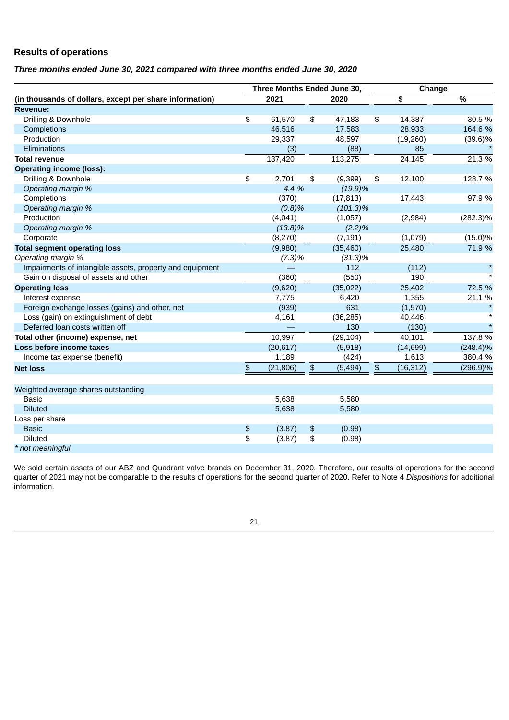# **Results of operations**

## *Three months ended June 30, 2021 compared with three months ended June 30, 2020*

|                                                          | Three Months Ended June 30, |            |               |             |    | Change    |             |  |  |
|----------------------------------------------------------|-----------------------------|------------|---------------|-------------|----|-----------|-------------|--|--|
| (in thousands of dollars, except per share information)  | 2021                        |            |               | 2020        | \$ |           | %           |  |  |
| Revenue:                                                 |                             |            |               |             |    |           |             |  |  |
| Drilling & Downhole                                      | \$                          | 61,570     | \$            | 47,183      | \$ | 14,387    | 30.5 %      |  |  |
| Completions                                              |                             | 46,516     |               | 17,583      |    | 28,933    | 164.6 %     |  |  |
| Production                                               |                             | 29,337     |               | 48,597      |    | (19, 260) | $(39.6)\%$  |  |  |
| Eliminations                                             |                             | (3)        |               | (88)        |    | 85        |             |  |  |
| <b>Total revenue</b>                                     |                             | 137,420    |               | 113,275     |    | 24,145    | 21.3 %      |  |  |
| <b>Operating income (loss):</b>                          |                             |            |               |             |    |           |             |  |  |
| Drilling & Downhole                                      | \$                          | 2,701      | \$            | (9, 399)    | \$ | 12,100    | 128.7 %     |  |  |
| Operating margin %                                       |                             | 4.4 %      |               | $(19.9)\%$  |    |           |             |  |  |
| Completions                                              |                             | (370)      |               | (17, 813)   |    | 17,443    | 97.9 %      |  |  |
| Operating margin %                                       |                             | (0.8)%     |               | $(101.3)\%$ |    |           |             |  |  |
| Production                                               |                             | (4,041)    |               | (1,057)     |    | (2,984)   | $(282.3)\%$ |  |  |
| Operating margin %                                       |                             | $(13.8)\%$ |               | (2.2)%      |    |           |             |  |  |
| Corporate                                                |                             | (8, 270)   |               | (7, 191)    |    | (1,079)   | $(15.0)\%$  |  |  |
| <b>Total segment operating loss</b>                      |                             | (9,980)    |               | (35, 460)   |    | 25,480    | 71.9 %      |  |  |
| Operating margin %                                       |                             | $(7.3)\%$  |               | $(31.3)\%$  |    |           |             |  |  |
| Impairments of intangible assets, property and equipment |                             |            |               | 112         |    | (112)     |             |  |  |
| Gain on disposal of assets and other                     |                             | (360)      |               | (550)       |    | 190       |             |  |  |
| <b>Operating loss</b>                                    |                             | (9,620)    |               | (35, 022)   |    | 25,402    | 72.5 %      |  |  |
| Interest expense                                         |                             | 7.775      |               | 6,420       |    | 1,355     | 21.1 %      |  |  |
| Foreign exchange losses (gains) and other, net           |                             | (939)      |               | 631         |    | (1,570)   |             |  |  |
| Loss (gain) on extinguishment of debt                    |                             | 4,161      |               | (36, 285)   |    | 40,446    |             |  |  |
| Deferred loan costs written off                          |                             |            |               | 130         |    | (130)     |             |  |  |
| Total other (income) expense, net                        |                             | 10,997     |               | (29, 104)   |    | 40,101    | 137.8 %     |  |  |
| Loss before income taxes                                 |                             | (20, 617)  |               | (5,918)     |    | (14, 699) | $(248.4)\%$ |  |  |
| Income tax expense (benefit)                             |                             | 1,189      |               | (424)       |    | 1,613     | 380.4 %     |  |  |
| <b>Net loss</b>                                          | \$                          | (21, 806)  | $\frac{4}{5}$ | (5, 494)    | \$ | (16, 312) | $(296.9)\%$ |  |  |
| Weighted average shares outstanding                      |                             |            |               |             |    |           |             |  |  |
| <b>Basic</b>                                             |                             | 5,638      |               | 5,580       |    |           |             |  |  |
| <b>Diluted</b>                                           |                             | 5,638      |               | 5,580       |    |           |             |  |  |
| Loss per share                                           |                             |            |               |             |    |           |             |  |  |
| <b>Basic</b>                                             | \$                          | (3.87)     | \$            | (0.98)      |    |           |             |  |  |
| <b>Diluted</b>                                           | \$                          | (3.87)     | \$            | (0.98)      |    |           |             |  |  |
| * not meaningful                                         |                             |            |               |             |    |           |             |  |  |

We sold certain assets of our ABZ and Quadrant valve brands on December 31, 2020. Therefore, our results of operations for the second quarter of 2021 may not be comparable to the results of operations for the second quarter of 2020. Refer to Note 4 *Dispositions* for additional information.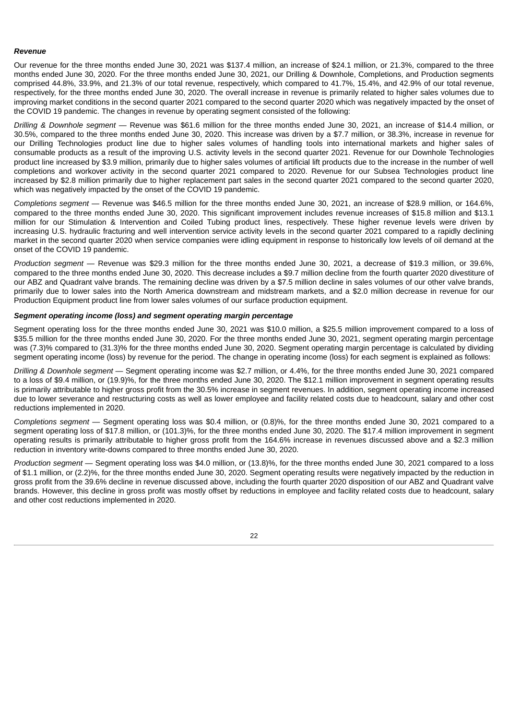#### *Revenue*

Our revenue for the three months ended June 30, 2021 was \$137.4 million, an increase of \$24.1 million, or 21.3%, compared to the three months ended June 30, 2020. For the three months ended June 30, 2021, our Drilling & Downhole, Completions, and Production segments comprised 44.8%, 33.9%, and 21.3% of our total revenue, respectively, which compared to 41.7%, 15.4%, and 42.9% of our total revenue, respectively, for the three months ended June 30, 2020. The overall increase in revenue is primarily related to higher sales volumes due to improving market conditions in the second quarter 2021 compared to the second quarter 2020 which was negatively impacted by the onset of the COVID 19 pandemic. The changes in revenue by operating segment consisted of the following:

*Drilling & Downhole segment* — Revenue was \$61.6 million for the three months ended June 30, 2021, an increase of \$14.4 million, or 30.5%, compared to the three months ended June 30, 2020. This increase was driven by a \$7.7 million, or 38.3%, increase in revenue for our Drilling Technologies product line due to higher sales volumes of handling tools into international markets and higher sales of consumable products as a result of the improving U.S. activity levels in the second quarter 2021. Revenue for our Downhole Technologies product line increased by \$3.9 million, primarily due to higher sales volumes of artificial lift products due to the increase in the number of well completions and workover activity in the second quarter 2021 compared to 2020. Revenue for our Subsea Technologies product line increased by \$2.8 million primarily due to higher replacement part sales in the second quarter 2021 compared to the second quarter 2020, which was negatively impacted by the onset of the COVID 19 pandemic.

*Completions segment* — Revenue was \$46.5 million for the three months ended June 30, 2021, an increase of \$28.9 million, or 164.6%, compared to the three months ended June 30, 2020. This significant improvement includes revenue increases of \$15.8 million and \$13.1 million for our Stimulation & Intervention and Coiled Tubing product lines, respectively. These higher revenue levels were driven by increasing U.S. hydraulic fracturing and well intervention service activity levels in the second quarter 2021 compared to a rapidly declining market in the second quarter 2020 when service companies were idling equipment in response to historically low levels of oil demand at the onset of the COVID 19 pandemic.

*Production segment* — Revenue was \$29.3 million for the three months ended June 30, 2021, a decrease of \$19.3 million, or 39.6%, compared to the three months ended June 30, 2020. This decrease includes a \$9.7 million decline from the fourth quarter 2020 divestiture of our ABZ and Quadrant valve brands. The remaining decline was driven by a \$7.5 million decline in sales volumes of our other valve brands, primarily due to lower sales into the North America downstream and midstream markets, and a \$2.0 million decrease in revenue for our Production Equipment product line from lower sales volumes of our surface production equipment.

### *Segment operating income (loss) and segment operating margin percentage*

Segment operating loss for the three months ended June 30, 2021 was \$10.0 million, a \$25.5 million improvement compared to a loss of \$35.5 million for the three months ended June 30, 2020. For the three months ended June 30, 2021, segment operating margin percentage was (7.3)% compared to (31.3)% for the three months ended June 30, 2020. Segment operating margin percentage is calculated by dividing segment operating income (loss) by revenue for the period. The change in operating income (loss) for each segment is explained as follows:

*Drilling & Downhole segment* — Segment operating income was \$2.7 million, or 4.4%, for the three months ended June 30, 2021 compared to a loss of \$9.4 million, or (19.9)%, for the three months ended June 30, 2020. The \$12.1 million improvement in segment operating results is primarily attributable to higher gross profit from the 30.5% increase in segment revenues. In addition, segment operating income increased due to lower severance and restructuring costs as well as lower employee and facility related costs due to headcount, salary and other cost reductions implemented in 2020.

*Completions segment* — Segment operating loss was \$0.4 million, or (0.8)%, for the three months ended June 30, 2021 compared to a segment operating loss of \$17.8 million, or (101.3)%, for the three months ended June 30, 2020. The \$17.4 million improvement in segment operating results is primarily attributable to higher gross profit from the 164.6% increase in revenues discussed above and a \$2.3 million reduction in inventory write-downs compared to three months ended June 30, 2020.

*Production segment* — Segment operating loss was \$4.0 million, or (13.8)%, for the three months ended June 30, 2021 compared to a loss of \$1.1 million, or (2.2)%, for the three months ended June 30, 2020. Segment operating results were negatively impacted by the reduction in gross profit from the 39.6% decline in revenue discussed above, including the fourth quarter 2020 disposition of our ABZ and Quadrant valve brands. However, this decline in gross profit was mostly offset by reductions in employee and facility related costs due to headcount, salary and other cost reductions implemented in 2020.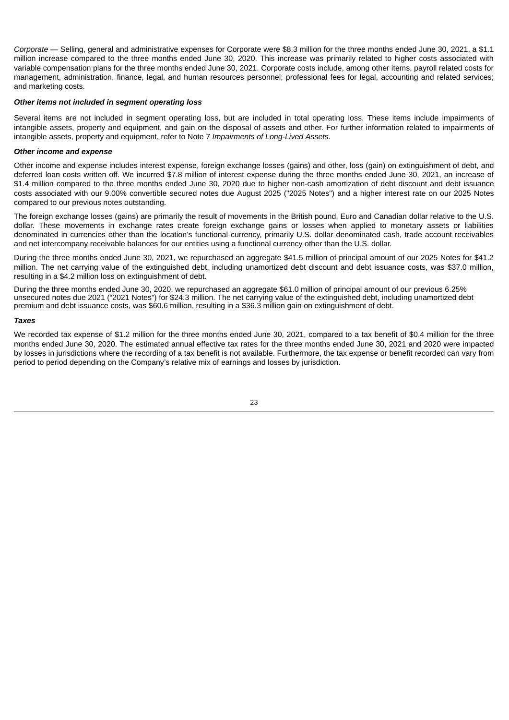*Corporate* — Selling, general and administrative expenses for Corporate were \$8.3 million for the three months ended June 30, 2021, a \$1.1 million increase compared to the three months ended June 30, 2020. This increase was primarily related to higher costs associated with variable compensation plans for the three months ended June 30, 2021. Corporate costs include, among other items, payroll related costs for management, administration, finance, legal, and human resources personnel; professional fees for legal, accounting and related services; and marketing costs.

### *Other items not included in segment operating loss*

Several items are not included in segment operating loss, but are included in total operating loss. These items include impairments of intangible assets, property and equipment, and gain on the disposal of assets and other. For further information related to impairments of intangible assets, property and equipment, refer to Note 7 *Impairments of Long-Lived Assets.*

#### *Other income and expense*

Other income and expense includes interest expense, foreign exchange losses (gains) and other, loss (gain) on extinguishment of debt, and deferred loan costs written off. We incurred \$7.8 million of interest expense during the three months ended June 30, 2021, an increase of \$1.4 million compared to the three months ended June 30, 2020 due to higher non-cash amortization of debt discount and debt issuance costs associated with our 9.00% convertible secured notes due August 2025 ("2025 Notes") and a higher interest rate on our 2025 Notes compared to our previous notes outstanding.

The foreign exchange losses (gains) are primarily the result of movements in the British pound, Euro and Canadian dollar relative to the U.S. dollar. These movements in exchange rates create foreign exchange gains or losses when applied to monetary assets or liabilities denominated in currencies other than the location's functional currency, primarily U.S. dollar denominated cash, trade account receivables and net intercompany receivable balances for our entities using a functional currency other than the U.S. dollar.

During the three months ended June 30, 2021, we repurchased an aggregate \$41.5 million of principal amount of our 2025 Notes for \$41.2 million. The net carrying value of the extinguished debt, including unamortized debt discount and debt issuance costs, was \$37.0 million, resulting in a \$4.2 million loss on extinguishment of debt.

During the three months ended June 30, 2020, we repurchased an aggregate \$61.0 million of principal amount of our previous 6.25% unsecured notes due 2021 ("2021 Notes") for \$24.3 million. The net carrying value of the extinguished debt, including unamortized debt premium and debt issuance costs, was \$60.6 million, resulting in a \$36.3 million gain on extinguishment of debt.

#### *Taxes*

We recorded tax expense of \$1.2 million for the three months ended June 30, 2021, compared to a tax benefit of \$0.4 million for the three months ended June 30, 2020. The estimated annual effective tax rates for the three months ended June 30, 2021 and 2020 were impacted by losses in jurisdictions where the recording of a tax benefit is not available. Furthermore, the tax expense or benefit recorded can vary from period to period depending on the Company's relative mix of earnings and losses by jurisdiction.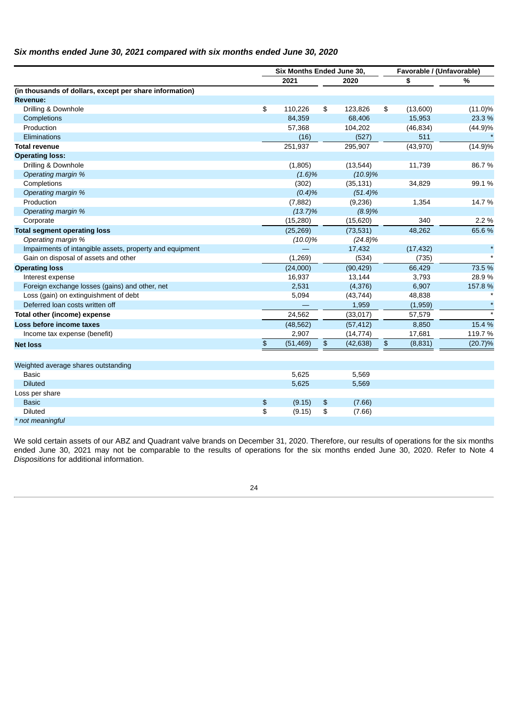# *Six months ended June 30, 2021 compared with six months ended June 30, 2020*

|                                                          |               | Six Months Ended June 30, |               |            |               | Favorable / (Unfavorable) |            |  |
|----------------------------------------------------------|---------------|---------------------------|---------------|------------|---------------|---------------------------|------------|--|
|                                                          |               | 2021                      |               | 2020       |               | \$                        | %          |  |
| (in thousands of dollars, except per share information)  |               |                           |               |            |               |                           |            |  |
| Revenue:                                                 |               |                           |               |            |               |                           |            |  |
| Drilling & Downhole                                      | \$            | 110,226                   | \$            | 123,826    | \$            | (13,600)                  | $(11.0)\%$ |  |
| Completions                                              |               | 84,359                    |               | 68,406     |               | 15,953                    | 23.3 %     |  |
| Production                                               |               | 57,368                    |               | 104,202    |               | (46, 834)                 | $(44.9)\%$ |  |
| <b>Eliminations</b>                                      |               | (16)                      |               | (527)      |               | 511                       |            |  |
| <b>Total revenue</b>                                     |               | 251,937                   |               | 295,907    |               | (43,970)                  | $(14.9)\%$ |  |
| <b>Operating loss:</b>                                   |               |                           |               |            |               |                           |            |  |
| Drilling & Downhole                                      |               | (1,805)                   |               | (13, 544)  |               | 11,739                    | 86.7%      |  |
| Operating margin %                                       |               | (1.6)%                    |               | $(10.9)\%$ |               |                           |            |  |
| Completions                                              |               | (302)                     | (35, 131)     |            |               | 34,829                    | 99.1%      |  |
| Operating margin %                                       |               | (0.4)%                    |               | $(51.4)\%$ |               |                           |            |  |
| Production                                               |               | (7, 882)                  | (9,236)       |            |               | 1,354                     | 14.7 %     |  |
| Operating margin %                                       |               | $(13.7)\%$                |               | (8.9)%     |               |                           |            |  |
| Corporate                                                |               | (15, 280)                 |               | (15, 620)  |               | 340                       | 2.2 %      |  |
| <b>Total segment operating loss</b>                      |               | (25, 269)                 |               | (73, 531)  |               | 48,262                    | 65.6%      |  |
| Operating margin %                                       |               | $(10.0)\%$                |               | $(24.8)\%$ |               |                           |            |  |
| Impairments of intangible assets, property and equipment |               |                           |               | 17,432     |               | (17, 432)                 |            |  |
| Gain on disposal of assets and other                     |               | (1, 269)                  |               | (534)      |               | (735)                     |            |  |
| <b>Operating loss</b>                                    |               | (24,000)                  |               | (90, 429)  |               | 66,429                    | 73.5 %     |  |
| Interest expense                                         |               | 16,937                    |               | 13,144     |               | 3,793                     | 28.9%      |  |
| Foreign exchange losses (gains) and other, net           |               | 2,531                     |               | (4, 376)   |               | 6,907                     | 157.8%     |  |
| Loss (gain) on extinguishment of debt                    |               | 5,094                     |               | (43, 744)  |               | 48,838                    |            |  |
| Deferred loan costs written off                          |               |                           |               | 1,959      |               | (1,959)                   |            |  |
| Total other (income) expense                             |               | 24,562                    |               | (33, 017)  |               | 57,579                    |            |  |
| Loss before income taxes                                 |               | (48, 562)                 |               | (57, 412)  |               | 8,850                     | 15.4 %     |  |
| Income tax expense (benefit)                             |               | 2,907                     |               | (14, 774)  |               | 17,681                    | 119.7%     |  |
| <b>Net loss</b>                                          | $\frac{2}{3}$ | (51, 469)                 | $\frac{2}{3}$ | (42, 638)  | $\frac{1}{2}$ | (8, 831)                  | (20.7)%    |  |
|                                                          |               |                           |               |            |               |                           |            |  |
| Weighted average shares outstanding                      |               |                           |               |            |               |                           |            |  |
| <b>Basic</b>                                             |               | 5,625                     |               | 5,569      |               |                           |            |  |
| <b>Diluted</b>                                           |               | 5,625                     |               | 5,569      |               |                           |            |  |
| Loss per share                                           |               |                           |               |            |               |                           |            |  |
| <b>Basic</b>                                             | \$            | (9.15)                    | \$            | (7.66)     |               |                           |            |  |
| <b>Diluted</b>                                           | \$            | (9.15)                    | \$            | (7.66)     |               |                           |            |  |
| * not meaningful                                         |               |                           |               |            |               |                           |            |  |

We sold certain assets of our ABZ and Quadrant valve brands on December 31, 2020. Therefore, our results of operations for the six months ended June 30, 2021 may not be comparable to the results of operations for the six months ended June 30, 2020. Refer to Note 4 *Dispositions* for additional information.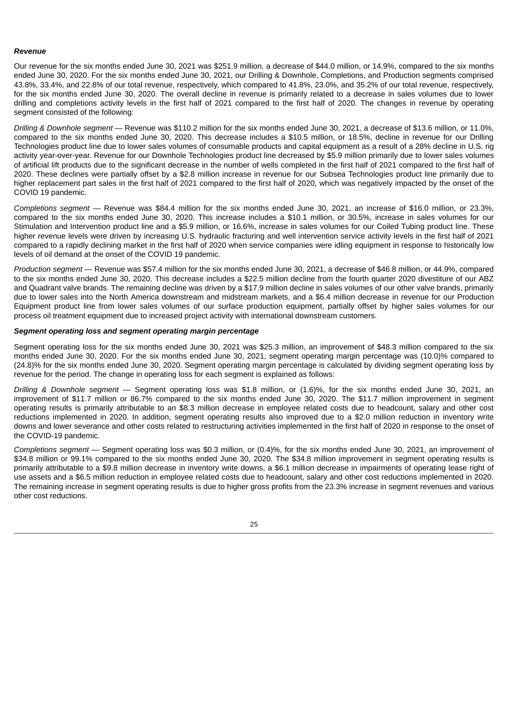#### *Revenue*

Our revenue for the six months ended June 30, 2021 was \$251.9 million, a decrease of \$44.0 million, or 14.9%, compared to the six months ended June 30, 2020. For the six months ended June 30, 2021, our Drilling & Downhole, Completions, and Production segments comprised 43.8%, 33.4%, and 22.8% of our total revenue, respectively, which compared to 41.8%, 23.0%, and 35.2% of our total revenue, respectively, for the six months ended June 30, 2020. The overall decline in revenue is primarily related to a decrease in sales volumes due to lower drilling and completions activity levels in the first half of 2021 compared to the first half of 2020. The changes in revenue by operating segment consisted of the following:

*Drilling & Downhole segment* — Revenue was \$110.2 million for the six months ended June 30, 2021, a decrease of \$13.6 million, or 11.0%, compared to the six months ended June 30, 2020. This decrease includes a \$10.5 million, or 18.5%, decline in revenue for our Drilling Technologies product line due to lower sales volumes of consumable products and capital equipment as a result of a 28% decline in U.S. rig activity year-over-year. Revenue for our Downhole Technologies product line decreased by \$5.9 million primarily due to lower sales volumes of artificial lift products due to the significant decrease in the number of wells completed in the first half of 2021 compared to the first half of 2020. These declines were partially offset by a \$2.8 million increase in revenue for our Subsea Technologies product line primarily due to higher replacement part sales in the first half of 2021 compared to the first half of 2020, which was negatively impacted by the onset of the COVID 19 pandemic.

*Completions segment* — Revenue was \$84.4 million for the six months ended June 30, 2021, an increase of \$16.0 million, or 23.3%, compared to the six months ended June 30, 2020. This increase includes a \$10.1 million, or 30.5%, increase in sales volumes for our Stimulation and Intervention product line and a \$5.9 million, or 16.6%, increase in sales volumes for our Coiled Tubing product line. These higher revenue levels were driven by increasing U.S. hydraulic fracturing and well intervention service activity levels in the first half of 2021 compared to a rapidly declining market in the first half of 2020 when service companies were idling equipment in response to historically low levels of oil demand at the onset of the COVID 19 pandemic.

*Production segment* — Revenue was \$57.4 million for the six months ended June 30, 2021, a decrease of \$46.8 million, or 44.9%, compared to the six months ended June 30, 2020. This decrease includes a \$22.5 million decline from the fourth quarter 2020 divestiture of our ABZ and Quadrant valve brands. The remaining decline was driven by a \$17.9 million decline in sales volumes of our other valve brands, primarily due to lower sales into the North America downstream and midstream markets, and a \$6.4 million decrease in revenue for our Production Equipment product line from lower sales volumes of our surface production equipment, partially offset by higher sales volumes for our process oil treatment equipment due to increased project activity with international downstream customers.

## *Segment operating loss and segment operating margin percentage*

Segment operating loss for the six months ended June 30, 2021 was \$25.3 million, an improvement of \$48.3 million compared to the six months ended June 30, 2020. For the six months ended June 30, 2021, segment operating margin percentage was (10.0)% compared to (24.8)% for the six months ended June 30, 2020. Segment operating margin percentage is calculated by dividing segment operating loss by revenue for the period. The change in operating loss for each segment is explained as follows:

*Drilling & Downhole segment* — Segment operating loss was \$1.8 million, or (1.6)%, for the six months ended June 30, 2021, an improvement of \$11.7 million or 86.7% compared to the six months ended June 30, 2020. The \$11.7 million improvement in segment operating results is primarily attributable to an \$8.3 million decrease in employee related costs due to headcount, salary and other cost reductions implemented in 2020. In addition, segment operating results also improved due to a \$2.0 million reduction in inventory write downs and lower severance and other costs related to restructuring activities implemented in the first half of 2020 in response to the onset of the COVID-19 pandemic.

*Completions segment* — Segment operating loss was \$0.3 million, or (0.4)%, for the six months ended June 30, 2021, an improvement of \$34.8 million or 99.1% compared to the six months ended June 30, 2020. The \$34.8 million improvement in segment operating results is primarily attributable to a \$9.8 million decrease in inventory write downs, a \$6.1 million decrease in impairments of operating lease right of use assets and a \$6.5 million reduction in employee related costs due to headcount, salary and other cost reductions implemented in 2020. The remaining increase in segment operating results is due to higher gross profits from the 23.3% increase in segment revenues and various other cost reductions.

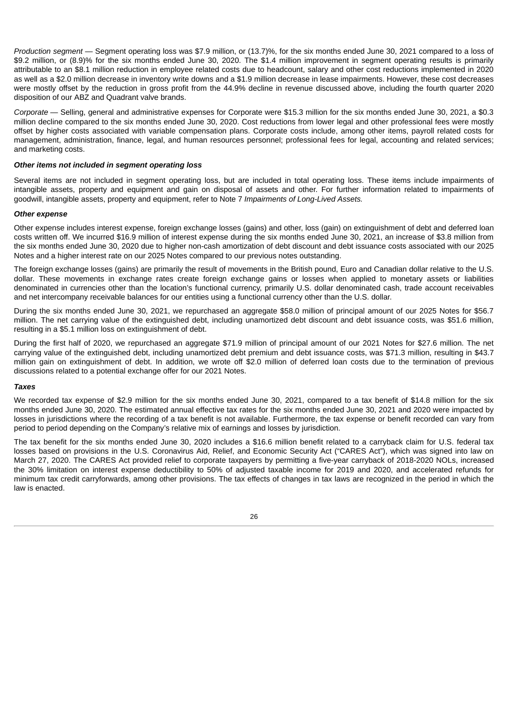*Production segment* — Segment operating loss was \$7.9 million, or (13.7)%, for the six months ended June 30, 2021 compared to a loss of \$9.2 million, or (8.9)% for the six months ended June 30, 2020. The \$1.4 million improvement in segment operating results is primarily attributable to an \$8.1 million reduction in employee related costs due to headcount, salary and other cost reductions implemented in 2020 as well as a \$2.0 million decrease in inventory write downs and a \$1.9 million decrease in lease impairments. However, these cost decreases were mostly offset by the reduction in gross profit from the 44.9% decline in revenue discussed above, including the fourth quarter 2020 disposition of our ABZ and Quadrant valve brands.

*Corporate* — Selling, general and administrative expenses for Corporate were \$15.3 million for the six months ended June 30, 2021, a \$0.3 million decline compared to the six months ended June 30, 2020. Cost reductions from lower legal and other professional fees were mostly offset by higher costs associated with variable compensation plans. Corporate costs include, among other items, payroll related costs for management, administration, finance, legal, and human resources personnel; professional fees for legal, accounting and related services; and marketing costs.

#### *Other items not included in segment operating loss*

Several items are not included in segment operating loss, but are included in total operating loss. These items include impairments of intangible assets, property and equipment and gain on disposal of assets and other. For further information related to impairments of goodwill, intangible assets, property and equipment, refer to Note 7 *Impairments of Long-Lived Assets.*

#### *Other expense*

Other expense includes interest expense, foreign exchange losses (gains) and other, loss (gain) on extinguishment of debt and deferred loan costs written off. We incurred \$16.9 million of interest expense during the six months ended June 30, 2021, an increase of \$3.8 million from the six months ended June 30, 2020 due to higher non-cash amortization of debt discount and debt issuance costs associated with our 2025 Notes and a higher interest rate on our 2025 Notes compared to our previous notes outstanding.

The foreign exchange losses (gains) are primarily the result of movements in the British pound, Euro and Canadian dollar relative to the U.S. dollar. These movements in exchange rates create foreign exchange gains or losses when applied to monetary assets or liabilities denominated in currencies other than the location's functional currency, primarily U.S. dollar denominated cash, trade account receivables and net intercompany receivable balances for our entities using a functional currency other than the U.S. dollar.

During the six months ended June 30, 2021, we repurchased an aggregate \$58.0 million of principal amount of our 2025 Notes for \$56.7 million. The net carrying value of the extinguished debt, including unamortized debt discount and debt issuance costs, was \$51.6 million, resulting in a \$5.1 million loss on extinguishment of debt.

During the first half of 2020, we repurchased an aggregate \$71.9 million of principal amount of our 2021 Notes for \$27.6 million. The net carrying value of the extinguished debt, including unamortized debt premium and debt issuance costs, was \$71.3 million, resulting in \$43.7 million gain on extinguishment of debt. In addition, we wrote off \$2.0 million of deferred loan costs due to the termination of previous discussions related to a potential exchange offer for our 2021 Notes.

#### *Taxes*

We recorded tax expense of \$2.9 million for the six months ended June 30, 2021, compared to a tax benefit of \$14.8 million for the six months ended June 30, 2020. The estimated annual effective tax rates for the six months ended June 30, 2021 and 2020 were impacted by losses in jurisdictions where the recording of a tax benefit is not available. Furthermore, the tax expense or benefit recorded can vary from period to period depending on the Company's relative mix of earnings and losses by jurisdiction.

The tax benefit for the six months ended June 30, 2020 includes a \$16.6 million benefit related to a carryback claim for U.S. federal tax losses based on provisions in the U.S. Coronavirus Aid, Relief, and Economic Security Act ("CARES Act"), which was signed into law on March 27, 2020. The CARES Act provided relief to corporate taxpayers by permitting a five-year carryback of 2018-2020 NOLs, increased the 30% limitation on interest expense deductibility to 50% of adjusted taxable income for 2019 and 2020, and accelerated refunds for minimum tax credit carryforwards, among other provisions. The tax effects of changes in tax laws are recognized in the period in which the law is enacted.

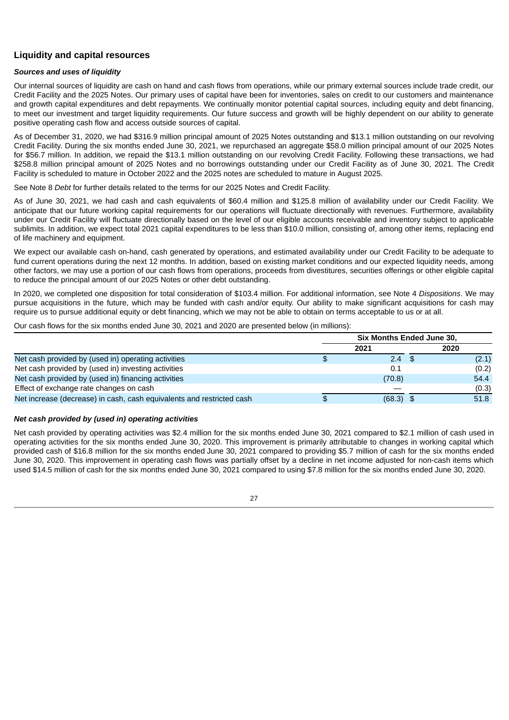# **Liquidity and capital resources**

## *Sources and uses of liquidity*

Our internal sources of liquidity are cash on hand and cash flows from operations, while our primary external sources include trade credit, our Credit Facility and the 2025 Notes. Our primary uses of capital have been for inventories, sales on credit to our customers and maintenance and growth capital expenditures and debt repayments. We continually monitor potential capital sources, including equity and debt financing, to meet our investment and target liquidity requirements. Our future success and growth will be highly dependent on our ability to generate positive operating cash flow and access outside sources of capital.

As of December 31, 2020, we had \$316.9 million principal amount of 2025 Notes outstanding and \$13.1 million outstanding on our revolving Credit Facility. During the six months ended June 30, 2021, we repurchased an aggregate \$58.0 million principal amount of our 2025 Notes for \$56.7 million. In addition, we repaid the \$13.1 million outstanding on our revolving Credit Facility. Following these transactions, we had \$258.8 million principal amount of 2025 Notes and no borrowings outstanding under our Credit Facility as of June 30, 2021. The Credit Facility is scheduled to mature in October 2022 and the 2025 notes are scheduled to mature in August 2025.

See Note 8 *Debt* for further details related to the terms for our 2025 Notes and Credit Facility.

As of June 30, 2021, we had cash and cash equivalents of \$60.4 million and \$125.8 million of availability under our Credit Facility. We anticipate that our future working capital requirements for our operations will fluctuate directionally with revenues. Furthermore, availability under our Credit Facility will fluctuate directionally based on the level of our eligible accounts receivable and inventory subject to applicable sublimits. In addition, we expect total 2021 capital expenditures to be less than \$10.0 million, consisting of, among other items, replacing end of life machinery and equipment.

We expect our available cash on-hand, cash generated by operations, and estimated availability under our Credit Facility to be adequate to fund current operations during the next 12 months. In addition, based on existing market conditions and our expected liquidity needs, among other factors, we may use a portion of our cash flows from operations, proceeds from divestitures, securities offerings or other eligible capital to reduce the principal amount of our 2025 Notes or other debt outstanding.

In 2020, we completed one disposition for total consideration of \$103.4 million. For additional information, see Note 4 *Dispositions*. We may pursue acquisitions in the future, which may be funded with cash and/or equity. Our ability to make significant acquisitions for cash may require us to pursue additional equity or debt financing, which we may not be able to obtain on terms acceptable to us or at all.

Our cash flows for the six months ended June 30, 2021 and 2020 are presented below (in millions):

|                                                                       |     | Six Months Ended June 30, |  |       |  |  |
|-----------------------------------------------------------------------|-----|---------------------------|--|-------|--|--|
|                                                                       |     | 2021                      |  | 2020  |  |  |
| Net cash provided by (used in) operating activities                   | \$. | $2.4$ \$                  |  | (2.1) |  |  |
| Net cash provided by (used in) investing activities                   |     | 0.1                       |  | (0.2) |  |  |
| Net cash provided by (used in) financing activities                   |     | (70.8)                    |  | 54.4  |  |  |
| Effect of exchange rate changes on cash                               |     |                           |  | (0.3) |  |  |
| Net increase (decrease) in cash, cash equivalents and restricted cash | £.  | $(68.3)$ \$               |  | 51.8  |  |  |

### *Net cash provided by (used in) operating activities*

Net cash provided by operating activities was \$2.4 million for the six months ended June 30, 2021 compared to \$2.1 million of cash used in operating activities for the six months ended June 30, 2020. This improvement is primarily attributable to changes in working capital which provided cash of \$16.8 million for the six months ended June 30, 2021 compared to providing \$5.7 million of cash for the six months ended June 30, 2020. This improvement in operating cash flows was partially offset by a decline in net income adjusted for non-cash items which used \$14.5 million of cash for the six months ended June 30, 2021 compared to using \$7.8 million for the six months ended June 30, 2020.

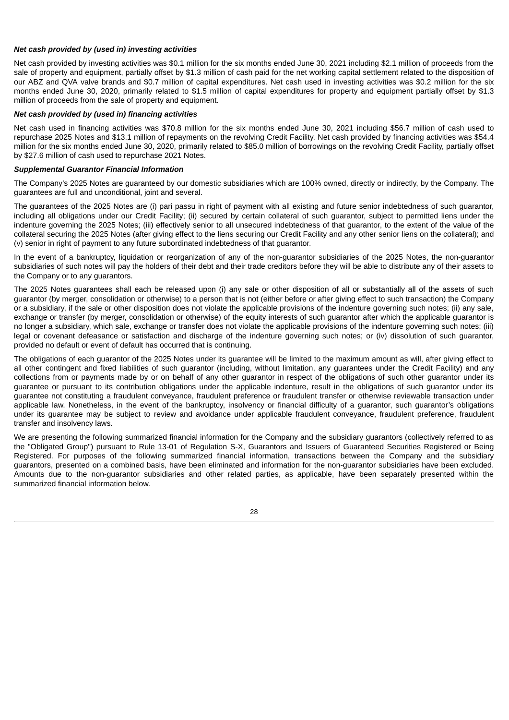### *Net cash provided by (used in) investing activities*

Net cash provided by investing activities was \$0.1 million for the six months ended June 30, 2021 including \$2.1 million of proceeds from the sale of property and equipment, partially offset by \$1.3 million of cash paid for the net working capital settlement related to the disposition of our ABZ and QVA valve brands and \$0.7 million of capital expenditures. Net cash used in investing activities was \$0.2 million for the six months ended June 30, 2020, primarily related to \$1.5 million of capital expenditures for property and equipment partially offset by \$1.3 million of proceeds from the sale of property and equipment.

### *Net cash provided by (used in) financing activities*

Net cash used in financing activities was \$70.8 million for the six months ended June 30, 2021 including \$56.7 million of cash used to repurchase 2025 Notes and \$13.1 million of repayments on the revolving Credit Facility. Net cash provided by financing activities was \$54.4 million for the six months ended June 30, 2020, primarily related to \$85.0 million of borrowings on the revolving Credit Facility, partially offset by \$27.6 million of cash used to repurchase 2021 Notes.

#### *Supplemental Guarantor Financial Information*

The Company's 2025 Notes are guaranteed by our domestic subsidiaries which are 100% owned, directly or indirectly, by the Company. The guarantees are full and unconditional, joint and several.

The guarantees of the 2025 Notes are (i) pari passu in right of payment with all existing and future senior indebtedness of such guarantor, including all obligations under our Credit Facility; (ii) secured by certain collateral of such guarantor, subject to permitted liens under the indenture governing the 2025 Notes; (iii) effectively senior to all unsecured indebtedness of that guarantor, to the extent of the value of the collateral securing the 2025 Notes (after giving effect to the liens securing our Credit Facility and any other senior liens on the collateral); and (v) senior in right of payment to any future subordinated indebtedness of that guarantor.

In the event of a bankruptcy, liquidation or reorganization of any of the non-guarantor subsidiaries of the 2025 Notes, the non-guarantor subsidiaries of such notes will pay the holders of their debt and their trade creditors before they will be able to distribute any of their assets to the Company or to any guarantors.

The 2025 Notes guarantees shall each be released upon (i) any sale or other disposition of all or substantially all of the assets of such guarantor (by merger, consolidation or otherwise) to a person that is not (either before or after giving effect to such transaction) the Company or a subsidiary, if the sale or other disposition does not violate the applicable provisions of the indenture governing such notes; (ii) any sale, exchange or transfer (by merger, consolidation or otherwise) of the equity interests of such guarantor after which the applicable guarantor is no longer a subsidiary, which sale, exchange or transfer does not violate the applicable provisions of the indenture governing such notes; (iii) legal or covenant defeasance or satisfaction and discharge of the indenture governing such notes; or (iv) dissolution of such guarantor, provided no default or event of default has occurred that is continuing.

The obligations of each guarantor of the 2025 Notes under its guarantee will be limited to the maximum amount as will, after giving effect to all other contingent and fixed liabilities of such guarantor (including, without limitation, any guarantees under the Credit Facility) and any collections from or payments made by or on behalf of any other guarantor in respect of the obligations of such other guarantor under its guarantee or pursuant to its contribution obligations under the applicable indenture, result in the obligations of such guarantor under its guarantee not constituting a fraudulent conveyance, fraudulent preference or fraudulent transfer or otherwise reviewable transaction under applicable law. Nonetheless, in the event of the bankruptcy, insolvency or financial difficulty of a guarantor, such guarantor's obligations under its guarantee may be subject to review and avoidance under applicable fraudulent conveyance, fraudulent preference, fraudulent transfer and insolvency laws.

We are presenting the following summarized financial information for the Company and the subsidiary guarantors (collectively referred to as the "Obligated Group") pursuant to Rule 13-01 of Regulation S-X, Guarantors and Issuers of Guaranteed Securities Registered or Being Registered. For purposes of the following summarized financial information, transactions between the Company and the subsidiary guarantors, presented on a combined basis, have been eliminated and information for the non-guarantor subsidiaries have been excluded. Amounts due to the non-guarantor subsidiaries and other related parties, as applicable, have been separately presented within the summarized financial information below.

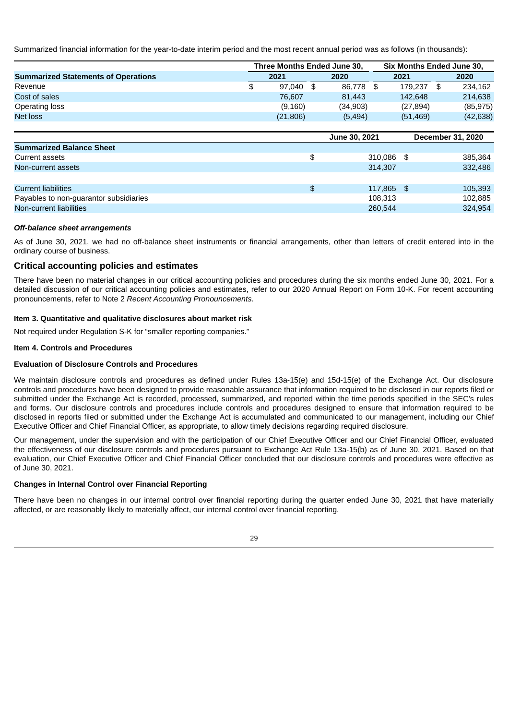Summarized financial information for the year-to-date interim period and the most recent annual period was as follows (in thousands):

|                                            |                 | Three Months Ended June 30, | <b>Six Months Ended June 30.</b> |            |           |    |                   |
|--------------------------------------------|-----------------|-----------------------------|----------------------------------|------------|-----------|----|-------------------|
| <b>Summarized Statements of Operations</b> | 2021            |                             | 2020                             |            | 2021      |    | 2020              |
| Revenue                                    | \$<br>97.040 \$ |                             | 86.778                           | \$         | 179.237   | \$ | 234,162           |
| Cost of sales                              | 76.607          |                             | 81.443                           |            | 142,648   |    | 214,638           |
| Operating loss                             | (9,160)         |                             | (34,903)                         |            | (27, 894) |    | (85, 975)         |
| Net loss                                   | (21, 806)       |                             | (5, 494)                         |            | (51, 469) |    | (42, 638)         |
|                                            |                 |                             |                                  |            |           |    |                   |
|                                            |                 |                             | June 30, 2021                    |            |           |    | December 31, 2020 |
| <b>Summarized Balance Sheet</b>            |                 |                             |                                  |            |           |    |                   |
| Current assets                             |                 | \$                          |                                  | 310.086 \$ |           |    | 385,364           |
| Non-current assets                         |                 |                             |                                  | 314,307    |           |    | 332,486           |
|                                            |                 |                             |                                  |            |           |    |                   |
| <b>Current liabilities</b>                 |                 | \$                          |                                  | 117.865 \$ |           |    | 105,393           |
| Payables to non-quarantor subsidiaries     |                 |                             |                                  | 108.313    |           |    | 102,885           |
| Non-current liabilities                    |                 |                             |                                  | 260.544    |           |    | 324.954           |

## *Off-balance sheet arrangements*

As of June 30, 2021, we had no off-balance sheet instruments or financial arrangements, other than letters of credit entered into in the ordinary course of business.

## **Critical accounting policies and estimates**

There have been no material changes in our critical accounting policies and procedures during the six months ended June 30, 2021. For a detailed discussion of our critical accounting policies and estimates, refer to our 2020 Annual Report on Form 10-K. For recent accounting pronouncements, refer to Note 2 *Recent Accounting Pronouncements*.

## <span id="page-28-0"></span>**Item 3. Quantitative and qualitative disclosures about market risk**

Not required under Regulation S-K for "smaller reporting companies."

### <span id="page-28-1"></span>**Item 4. Controls and Procedures**

## **Evaluation of Disclosure Controls and Procedures**

We maintain disclosure controls and procedures as defined under Rules 13a-15(e) and 15d-15(e) of the Exchange Act. Our disclosure controls and procedures have been designed to provide reasonable assurance that information required to be disclosed in our reports filed or submitted under the Exchange Act is recorded, processed, summarized, and reported within the time periods specified in the SEC's rules and forms. Our disclosure controls and procedures include controls and procedures designed to ensure that information required to be disclosed in reports filed or submitted under the Exchange Act is accumulated and communicated to our management, including our Chief Executive Officer and Chief Financial Officer, as appropriate, to allow timely decisions regarding required disclosure.

Our management, under the supervision and with the participation of our Chief Executive Officer and our Chief Financial Officer, evaluated the effectiveness of our disclosure controls and procedures pursuant to Exchange Act Rule 13a-15(b) as of June 30, 2021. Based on that evaluation, our Chief Executive Officer and Chief Financial Officer concluded that our disclosure controls and procedures were effective as of June 30, 2021.

### **Changes in Internal Control over Financial Reporting**

<span id="page-28-2"></span>There have been no changes in our internal control over financial reporting during the quarter ended June 30, 2021 that have materially affected, or are reasonably likely to materially affect, our internal control over financial reporting.

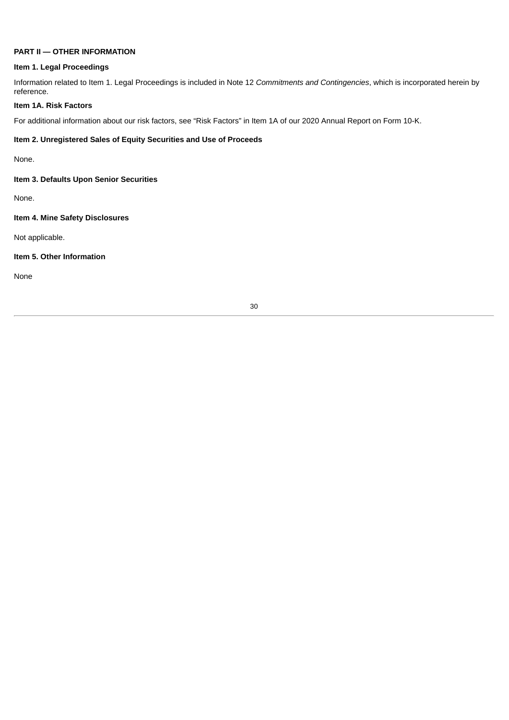## **PART II — OTHER INFORMATION**

#### <span id="page-29-0"></span>**Item 1. Legal Proceedings**

Information related to Item 1. Legal Proceedings is included in Note 12 *Commitments and Contingencies*, which is incorporated herein by reference.

## <span id="page-29-1"></span>**Item 1A. Risk Factors**

<span id="page-29-2"></span>For additional information about our risk factors, see "Risk Factors" in Item 1A of our 2020 Annual Report on Form 10-K.

## **Item 2. Unregistered Sales of Equity Securities and Use of Proceeds**

None.

## <span id="page-29-3"></span>**Item 3. Defaults Upon Senior Securities**

None.

### <span id="page-29-4"></span>**Item 4. Mine Safety Disclosures**

Not applicable.

## <span id="page-29-5"></span>**Item 5. Other Information**

<span id="page-29-6"></span>None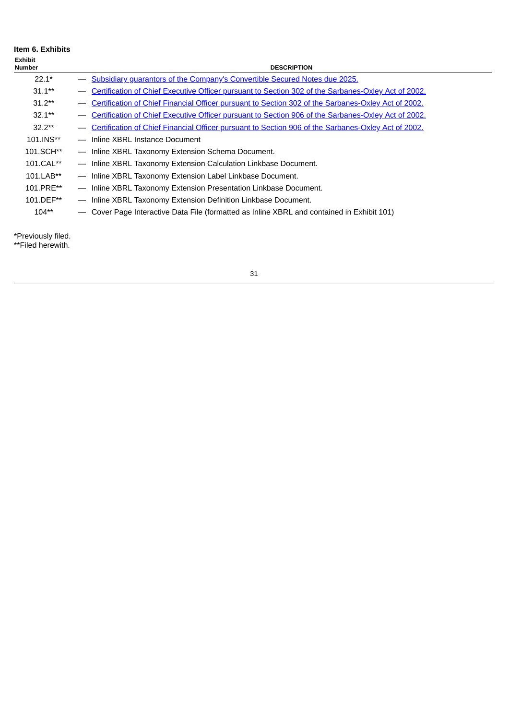| <b>Item 6. Exhibits</b><br><b>Exhibit</b><br>Number |                                 | <b>DESCRIPTION</b>                                                                                    |
|-----------------------------------------------------|---------------------------------|-------------------------------------------------------------------------------------------------------|
|                                                     |                                 |                                                                                                       |
| $22.1*$                                             |                                 | - Subsidiary quarantors of the Company's Convertible Secured Notes due 2025.                          |
| $31.1**$                                            |                                 | Certification of Chief Executive Officer pursuant to Section 302 of the Sarbanes-Oxley Act of 2002.   |
| $31.2**$                                            |                                 | Certification of Chief Financial Officer pursuant to Section 302 of the Sarbanes-Oxley Act of 2002.   |
| $32.1**$                                            |                                 | Certification of Chief Executive Officer pursuant to Section 906 of the Sarbanes-Oxley Act of 2002.   |
| $32.2**$                                            |                                 | - Certification of Chief Financial Officer pursuant to Section 906 of the Sarbanes-Oxley Act of 2002. |
| 101.INS**                                           |                                 | - Inline XBRL Instance Document                                                                       |
| 101.SCH**                                           |                                 | - Inline XBRL Taxonomy Extension Schema Document.                                                     |
| 101.CAL**                                           |                                 | - Inline XBRL Taxonomy Extension Calculation Linkbase Document.                                       |
| 101.LAB**                                           |                                 | - Inline XBRL Taxonomy Extension Label Linkbase Document.                                             |
| 101.PRE**                                           |                                 | - Inline XBRL Taxonomy Extension Presentation Linkbase Document.                                      |
| 101.DEF**                                           | $\hspace{0.1mm}-\hspace{0.1mm}$ | Inline XBRL Taxonomy Extension Definition Linkbase Document.                                          |
| $104**$                                             |                                 | - Cover Page Interactive Data File (formatted as Inline XBRL and contained in Exhibit 101)            |

 $\overline{\phantom{a}}$ 

\*Previously filed.

<span id="page-30-0"></span>\*\*Filed herewith.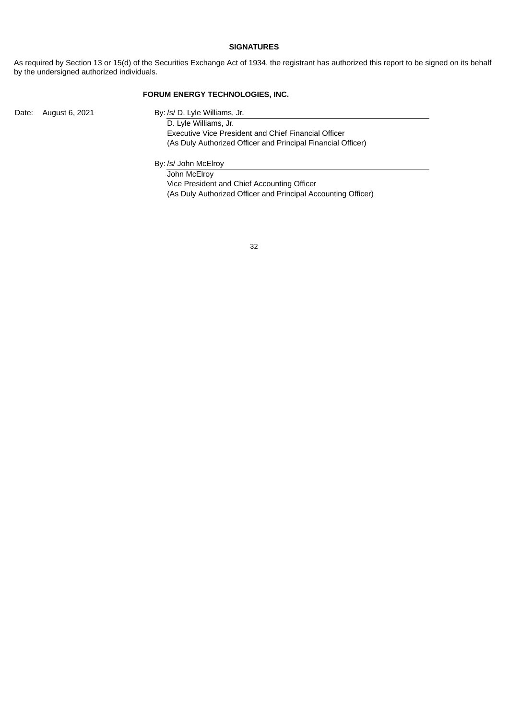#### **SIGNATURES**

As required by Section 13 or 15(d) of the Securities Exchange Act of 1934, the registrant has authorized this report to be signed on its behalf by the undersigned authorized individuals.

## **FORUM ENERGY TECHNOLOGIES, INC.**

Date: August 6, 2021 By: /s/ D. Lyle Williams, Jr.

D. Lyle Williams, Jr. Executive Vice President and Chief Financial Officer (As Duly Authorized Officer and Principal Financial Officer)

By: /s/ John McElroy

John McElroy Vice President and Chief Accounting Officer (As Duly Authorized Officer and Principal Accounting Officer)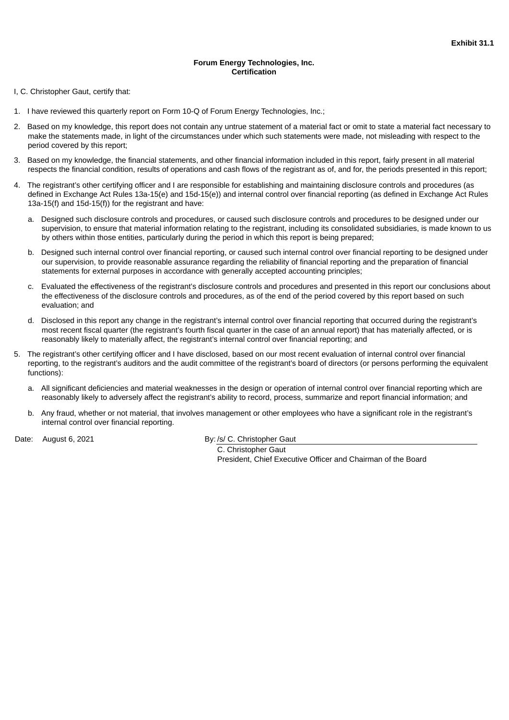## **Forum Energy Technologies, Inc. Certification**

<span id="page-32-0"></span>I, C. Christopher Gaut, certify that:

- 1. I have reviewed this quarterly report on Form 10-Q of Forum Energy Technologies, Inc.;
- 2. Based on my knowledge, this report does not contain any untrue statement of a material fact or omit to state a material fact necessary to make the statements made, in light of the circumstances under which such statements were made, not misleading with respect to the period covered by this report;
- 3. Based on my knowledge, the financial statements, and other financial information included in this report, fairly present in all material respects the financial condition, results of operations and cash flows of the registrant as of, and for, the periods presented in this report;
- 4. The registrant's other certifying officer and I are responsible for establishing and maintaining disclosure controls and procedures (as defined in Exchange Act Rules 13a-15(e) and 15d-15(e)) and internal control over financial reporting (as defined in Exchange Act Rules 13a-15(f) and 15d-15(f)) for the registrant and have:
	- a. Designed such disclosure controls and procedures, or caused such disclosure controls and procedures to be designed under our supervision, to ensure that material information relating to the registrant, including its consolidated subsidiaries, is made known to us by others within those entities, particularly during the period in which this report is being prepared;
	- b. Designed such internal control over financial reporting, or caused such internal control over financial reporting to be designed under our supervision, to provide reasonable assurance regarding the reliability of financial reporting and the preparation of financial statements for external purposes in accordance with generally accepted accounting principles;
	- c. Evaluated the effectiveness of the registrant's disclosure controls and procedures and presented in this report our conclusions about the effectiveness of the disclosure controls and procedures, as of the end of the period covered by this report based on such evaluation; and
	- d. Disclosed in this report any change in the registrant's internal control over financial reporting that occurred during the registrant's most recent fiscal quarter (the registrant's fourth fiscal quarter in the case of an annual report) that has materially affected, or is reasonably likely to materially affect, the registrant's internal control over financial reporting; and
- 5. The registrant's other certifying officer and I have disclosed, based on our most recent evaluation of internal control over financial reporting, to the registrant's auditors and the audit committee of the registrant's board of directors (or persons performing the equivalent functions):
	- a. All significant deficiencies and material weaknesses in the design or operation of internal control over financial reporting which are reasonably likely to adversely affect the registrant's ability to record, process, summarize and report financial information; and
	- b. Any fraud, whether or not material, that involves management or other employees who have a significant role in the registrant's internal control over financial reporting.

Date: August 6, 2021 By: /s/ C. Christopher Gaut

C. Christopher Gaut President, Chief Executive Officer and Chairman of the Board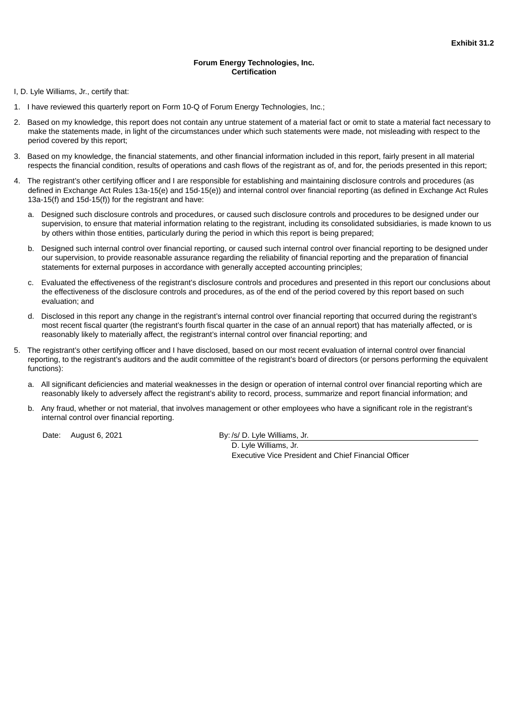## **Forum Energy Technologies, Inc. Certification**

<span id="page-33-0"></span>I, D. Lyle Williams, Jr., certify that:

- 1. I have reviewed this quarterly report on Form 10-Q of Forum Energy Technologies, Inc.;
- 2. Based on my knowledge, this report does not contain any untrue statement of a material fact or omit to state a material fact necessary to make the statements made, in light of the circumstances under which such statements were made, not misleading with respect to the period covered by this report;
- 3. Based on my knowledge, the financial statements, and other financial information included in this report, fairly present in all material respects the financial condition, results of operations and cash flows of the registrant as of, and for, the periods presented in this report;
- 4. The registrant's other certifying officer and I are responsible for establishing and maintaining disclosure controls and procedures (as defined in Exchange Act Rules 13a-15(e) and 15d-15(e)) and internal control over financial reporting (as defined in Exchange Act Rules 13a-15(f) and 15d-15(f)) for the registrant and have:
	- a. Designed such disclosure controls and procedures, or caused such disclosure controls and procedures to be designed under our supervision, to ensure that material information relating to the registrant, including its consolidated subsidiaries, is made known to us by others within those entities, particularly during the period in which this report is being prepared;
	- b. Designed such internal control over financial reporting, or caused such internal control over financial reporting to be designed under our supervision, to provide reasonable assurance regarding the reliability of financial reporting and the preparation of financial statements for external purposes in accordance with generally accepted accounting principles;
	- c. Evaluated the effectiveness of the registrant's disclosure controls and procedures and presented in this report our conclusions about the effectiveness of the disclosure controls and procedures, as of the end of the period covered by this report based on such evaluation; and
	- d. Disclosed in this report any change in the registrant's internal control over financial reporting that occurred during the registrant's most recent fiscal quarter (the registrant's fourth fiscal quarter in the case of an annual report) that has materially affected, or is reasonably likely to materially affect, the registrant's internal control over financial reporting; and
- 5. The registrant's other certifying officer and I have disclosed, based on our most recent evaluation of internal control over financial reporting, to the registrant's auditors and the audit committee of the registrant's board of directors (or persons performing the equivalent functions):
	- a. All significant deficiencies and material weaknesses in the design or operation of internal control over financial reporting which are reasonably likely to adversely affect the registrant's ability to record, process, summarize and report financial information; and
	- b. Any fraud, whether or not material, that involves management or other employees who have a significant role in the registrant's internal control over financial reporting.

Date: August 6, 2021 By: /s/ D. Lyle Williams, Jr.

D. Lyle Williams, Jr. Executive Vice President and Chief Financial Officer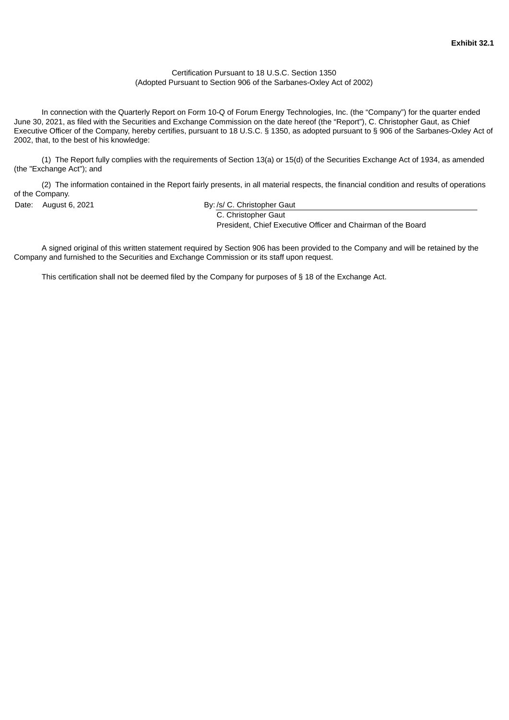## Certification Pursuant to 18 U.S.C. Section 1350 (Adopted Pursuant to Section 906 of the Sarbanes-Oxley Act of 2002)

<span id="page-34-0"></span>In connection with the Quarterly Report on Form 10-Q of Forum Energy Technologies, Inc. (the "Company") for the quarter ended June 30, 2021, as filed with the Securities and Exchange Commission on the date hereof (the "Report"), C. Christopher Gaut, as Chief Executive Officer of the Company, hereby certifies, pursuant to 18 U.S.C. § 1350, as adopted pursuant to § 906 of the Sarbanes-Oxley Act of 2002, that, to the best of his knowledge:

(1) The Report fully complies with the requirements of Section 13(a) or 15(d) of the Securities Exchange Act of 1934, as amended (the "Exchange Act"); and

(2) The information contained in the Report fairly presents, in all material respects, the financial condition and results of operations of the Company.

Date: August 6, 2021 **By: /s/ C. Christopher Gaut** C. Christopher Gaut

President, Chief Executive Officer and Chairman of the Board

A signed original of this written statement required by Section 906 has been provided to the Company and will be retained by the Company and furnished to the Securities and Exchange Commission or its staff upon request.

This certification shall not be deemed filed by the Company for purposes of § 18 of the Exchange Act.